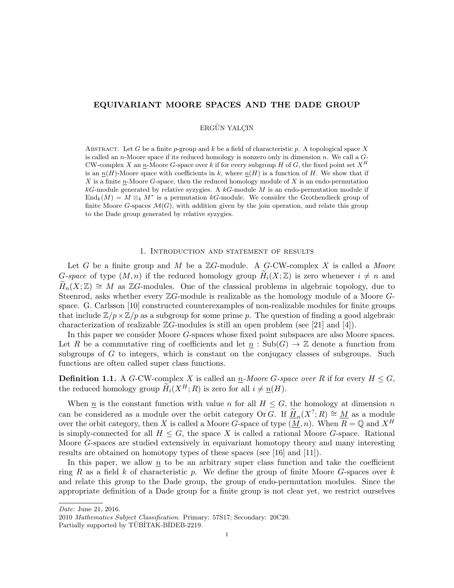# EQUIVARIANT MOORE SPACES AND THE DADE GROUP

ERGÜN YALCIN

ABSTRACT. Let G be a finite p-group and k be a field of characteristic p. A topological space X is called an n-Moore space if its reduced homology is nonzero only in dimension n. We call a  $G$ -CW-complex X an  $n$ -Moore G-space over k if for every subgroup H of G, the fixed point set  $X^H$ is an  $n(H)$ -Moore space with coefficients in k, where  $n(H)$  is a function of H. We show that if X is a finite n-Moore G-space, then the reduced homology module of X is an endo-permutation  $k$ G-module generated by relative syzygies. A  $k$ G-module M is an endo-permutation module if  $\text{End}_k(M) = M \otimes_k M^*$  is a permutation kG-module. We consider the Grothendieck group of finite Moore G-spaces  $\mathcal{M}(G)$ , with addition given by the join operation, and relate this group to the Dade group generated by relative syzygies.

# 1. Introduction and statement of results

Let G be a finite group and M be a  $\mathbb{Z}G$ -module. A G-CW-complex X is called a Moore G-space of type  $(M, n)$  if the reduced homology group  $H_i(X; \mathbb{Z})$  is zero whenever  $i \neq n$  and  $H_n(X;\mathbb{Z}) \cong M$  as  $\mathbb{Z}G$ -modules. One of the classical problems in algebraic topology, due to Steenrod, asks whether every ZG-module is realizable as the homology module of a Moore Gspace. G. Carlsson [10] constructed counterexamples of non-realizable modules for finite groups that include  $\mathbb{Z}/p \times \mathbb{Z}/p$  as a subgroup for some prime p. The question of finding a good algebraic characterization of realizable  $\mathbb{Z}G$ -modules is still an open problem (see [21] and [4]).

In this paper we consider Moore G-spaces whose fixed point subspaces are also Moore spaces. Let R be a commutative ring of coefficients and let  $n : Sub(G) \to \mathbb{Z}$  denote a function from subgroups of  $G$  to integers, which is constant on the conjugacy classes of subgroups. Such functions are often called super class functions.

**Definition 1.1.** A G-CW-complex X is called an  $\underline{n}$ -Moore G-space over R if for every  $H \leq G$ , the reduced homology group  $\widetilde{H}_i(X^H; R)$  is zero for all  $i \neq n(H)$ .

When  $\underline{n}$  is the constant function with value n for all  $H \leq G$ , the homology at dimension n can be considered as a module over the orbit category Or G. If  $\widetilde{H}_n(X^?;R) \cong M$  as a module over the orbit category, then X is called a Moore G-space of type  $(M, n)$ . When  $R = \mathbb{Q}$  and  $X^H$ is simply-connected for all  $H \leq G$ , the space X is called a rational Moore G-space. Rational Moore G-spaces are studied extensively in equivariant homotopy theory and many interesting results are obtained on homotopy types of these spaces (see [16] and [11]).

In this paper, we allow  $n$  to be an arbitrary super class function and take the coefficient ring R as a field k of characteristic p. We define the group of finite Moore G-spaces over  $k$ and relate this group to the Dade group, the group of endo-permutation modules. Since the appropriate definition of a Dade group for a finite group is not clear yet, we restrict ourselves

Date: June 21, 2016.

<sup>2010</sup> Mathematics Subject Classification. Primary: 57S17; Secondary: 20C20.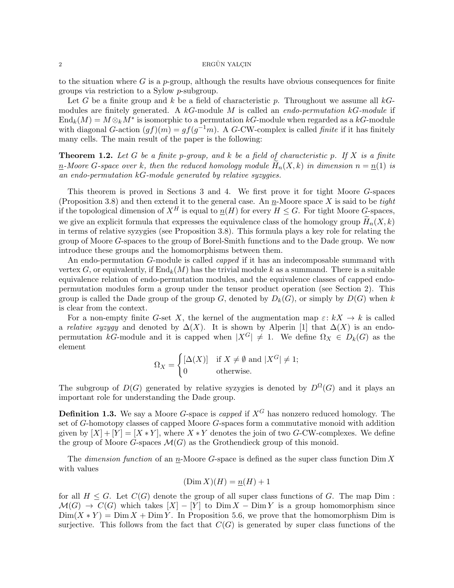### $2 \longrightarrow$  ERGÜN YALÇIN

to the situation where G is a p-group, although the results have obvious consequences for finite groups via restriction to a Sylow p-subgroup.

Let G be a finite group and k be a field of characteristic p. Throughout we assume all  $kG$ modules are finitely generated. A  $k$ G-module M is called an endo-permutation  $k$ G-module if  $\text{End}_k(M) = M \otimes_k M^*$  is isomorphic to a permutation  $kG$ -module when regarded as a  $kG$ -module with diagonal G-action  $(gf)(m) = gf(g^{-1}m)$ . A G-CW-complex is called *finite* if it has finitely many cells. The main result of the paper is the following:

**Theorem 1.2.** Let G be a finite p-group, and k be a field of characteristic p. If X is a finite n-Moore G-space over k, then the reduced homology module  $H_n(X, k)$  in dimension  $n = n(1)$  is an endo-permutation kG-module generated by relative syzygies.

This theorem is proved in Sections 3 and 4. We first prove it for tight Moore G-spaces (Proposition 3.8) and then extend it to the general case. An n-Moore space X is said to be tight if the topological dimension of  $X^H$  is equal to  $\underline{n}(H)$  for every  $H \leq G$ . For tight Moore G-spaces, we give an explicit formula that expresses the equivalence class of the homology group  $\widetilde{H}_n(X, k)$ in terms of relative syzygies (see Proposition 3.8). This formula plays a key role for relating the group of Moore G-spaces to the group of Borel-Smith functions and to the Dade group. We now introduce these groups and the homomorphisms between them.

An endo-permutation G-module is called *capped* if it has an indecomposable summand with vertex G, or equivalently, if  $\text{End}_k(M)$  has the trivial module k as a summand. There is a suitable equivalence relation of endo-permutation modules, and the equivalence classes of capped endopermutation modules form a group under the tensor product operation (see Section 2). This group is called the Dade group of the group G, denoted by  $D_k(G)$ , or simply by  $D(G)$  when k is clear from the context.

For a non-empty finite G-set X, the kernel of the augmentation map  $\varepsilon: kX \to k$  is called a relative syzygy and denoted by  $\Delta(X)$ . It is shown by Alperin [1] that  $\Delta(X)$  is an endopermutation kG-module and it is capped when  $|X^G| \neq 1$ . We define  $\Omega_X \in D_k(G)$  as the element

$$
\Omega_X = \begin{cases} [\Delta(X)] & \text{if } X \neq \emptyset \text{ and } |X^G| \neq 1; \\ 0 & \text{otherwise.} \end{cases}
$$

The subgroup of  $D(G)$  generated by relative syzygies is denoted by  $D^{\Omega}(G)$  and it plays an important role for understanding the Dade group.

**Definition 1.3.** We say a Moore G-space is *capped* if  $X^G$  has nonzero reduced homology. The set of G-homotopy classes of capped Moore G-spaces form a commutative monoid with addition given by  $[X] + [Y] = [X * Y]$ , where  $X * Y$  denotes the join of two G-CW-complexes. We define the group of Moore G-spaces  $\mathcal{M}(G)$  as the Grothendieck group of this monoid.

The dimension function of an  $n$ -Moore G-space is defined as the super class function  $\text{Dim } X$ with values

$$
(\text{Dim } X)(H) = \underline{n}(H) + 1
$$

for all  $H \leq G$ . Let  $C(G)$  denote the group of all super class functions of G. The map Dim:  $\mathcal{M}(G) \to C(G)$  which takes  $[X] - [Y]$  to  $\text{Dim } X - \text{Dim } Y$  is a group homomorphism since  $\text{Dim}(X * Y) = \text{Dim } X + \text{Dim } Y$ . In Proposition 5.6, we prove that the homomorphism Dim is surjective. This follows from the fact that  $C(G)$  is generated by super class functions of the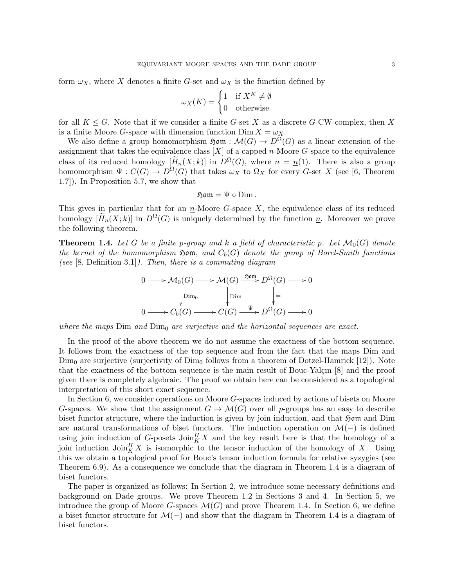form  $\omega_X$ , where X denotes a finite G-set and  $\omega_X$  is the function defined by

$$
\omega_X(K) = \begin{cases} 1 & \text{if } X^K \neq \emptyset \\ 0 & \text{otherwise} \end{cases}
$$

for all  $K \leq G$ . Note that if we consider a finite G-set X as a discrete G-CW-complex, then X is a finite Moore G-space with dimension function  $\text{Dim } X = \omega_X$ .

We also define a group homomorphism  $\mathfrak{Hom} : \mathcal{M}(G) \to D^{\Omega}(G)$  as a linear extension of the assignment that takes the equivalence class  $[X]$  of a capped *n*-Moore *G*-space to the equivalence class of its reduced homology  $[\widetilde{H}_n(X;k)]$  in  $D^{\Omega}(G)$ , where  $n = n(1)$ . There is also a group homomorphism  $\Psi: C(G) \to D^{\Omega}(G)$  that takes  $\omega_X$  to  $\Omega_X$  for every G-set X (see [6, Theorem 1.7]). In Proposition 5.7, we show that

# $\mathfrak{Hom} = \Psi \circ \text{Dim}.$

This gives in particular that for an  $n$ -Moore G-space X, the equivalence class of its reduced homology  $[H_n(X; k)]$  in  $D^{\Omega}(G)$  is uniquely determined by the function n. Moreover we prove the following theorem.

**Theorem 1.4.** Let G be a finite p-group and k a field of characteristic p. Let  $\mathcal{M}_0(G)$  denote the kernel of the homomorphism  $\mathfrak{Hom}$ , and  $C_b(G)$  denote the group of Borel-Smith functions (see  $[8,$  Definition 3.1]). Then, there is a commuting diagram

$$
0 \longrightarrow \mathcal{M}_0(G) \longrightarrow \mathcal{M}(G) \xrightarrow{\text{Sym}} D^{\Omega}(G) \longrightarrow 0
$$
  
\n
$$
\downarrow \text{Dim}_{0} \qquad \qquad \downarrow \text{Sim}_{0}
$$
  
\n
$$
0 \longrightarrow C_b(G) \longrightarrow C(G) \xrightarrow{\Psi} D^{\Omega}(G) \longrightarrow 0
$$

where the maps  $Dim$  and  $Dim$ <sup>0</sup> are surjective and the horizontal sequences are exact.

In the proof of the above theorem we do not assume the exactness of the bottom sequence. It follows from the exactness of the top sequence and from the fact that the maps Dim and  $Dim<sub>0</sub>$  are surjective (surjectivity of  $Dim<sub>0</sub>$  follows from a theorem of Dotzel-Hamrick [12]). Note that the exactness of the bottom sequence is the main result of Bouc-Yalçın  $[8]$  and the proof given there is completely algebraic. The proof we obtain here can be considered as a topological interpretation of this short exact sequence.

In Section 6, we consider operations on Moore G-spaces induced by actions of bisets on Moore G-spaces. We show that the assignment  $G \to \mathcal{M}(G)$  over all p-groups has an easy to describe biset functor structure, where the induction is given by join induction, and that  $\mathfrak{Hom}$  and Dim are natural transformations of biset functors. The induction operation on  $\mathcal{M}(-)$  is defined using join induction of G-posets  $\mathrm{Join}_{K}^{H} X$  and the key result here is that the homology of a join induction  $\mathrm{Join}_{K}^{H} X$  is isomorphic to the tensor induction of the homology of X. Using this we obtain a topological proof for Bouc's tensor induction formula for relative syzygies (see Theorem 6.9). As a consequence we conclude that the diagram in Theorem 1.4 is a diagram of biset functors.

The paper is organized as follows: In Section 2, we introduce some necessary definitions and background on Dade groups. We prove Theorem 1.2 in Sections 3 and 4. In Section 5, we introduce the group of Moore G-spaces  $\mathcal{M}(G)$  and prove Theorem 1.4. In Section 6, we define a biset functor structure for  $\mathcal{M}(-)$  and show that the diagram in Theorem 1.4 is a diagram of biset functors.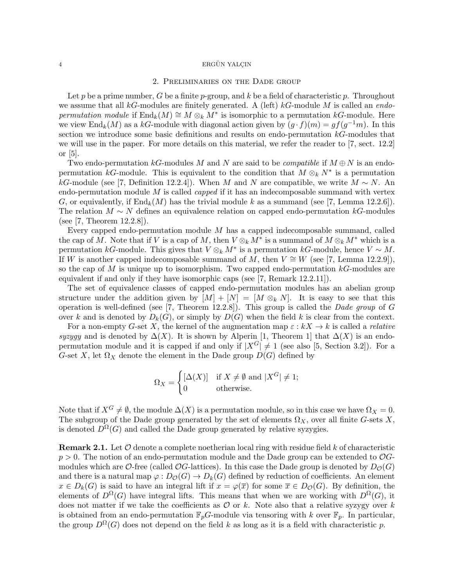### 2. Preliminaries on the Dade group

Let p be a prime number, G be a finite p-group, and k be a field of characteristic p. Throughout we assume that all kG-modules are finitely generated. A (left) kG-module M is called an endopermutation module if  $\text{End}_k(M) \cong M \otimes_k M^*$  is isomorphic to a permutation kG-module. Here we view  $\text{End}_k(M)$  as a kG-module with diagonal action given by  $(g \cdot f)(m) = gf(g^{-1}m)$ . In this section we introduce some basic definitions and results on endo-permutation  $k$ -modules that we will use in the paper. For more details on this material, we refer the reader to [7, sect. 12.2] or [5].

Two endo-permutation kG-modules M and N are said to be *compatible* if  $M \oplus N$  is an endopermutation kG-module. This is equivalent to the condition that  $M \otimes_k N^*$  is a permutation kG-module (see [7, Definition 12.2.4]). When M and N are compatible, we write  $M \sim N$ . An endo-permutation module  $M$  is called *capped* if it has an indecomposable summand with vertex G, or equivalently, if  $\text{End}_k(M)$  has the trivial module k as a summand (see [7, Lemma 12.2.6]). The relation  $M \sim N$  defines an equivalence relation on capped endo-permutation kG-modules (see [7, Theorem 12.2.8]).

Every capped endo-permutation module M has a capped indecomposable summand, called the cap of M. Note that if V is a cap of M, then  $V \otimes_k M^*$  is a summand of  $M \otimes_k M^*$  which is a permutation kG-module. This gives that  $V \otimes_k M^*$  is a permutation kG-module, hence  $V \sim M$ . If W is another capped indecomposable summand of M, then  $V \cong W$  (see [7, Lemma 12.2.9]), so the cap of  $M$  is unique up to isomorphism. Two capped endo-permutation  $kG$ -modules are equivalent if and only if they have isomorphic caps (see [7, Remark 12.2.11]).

The set of equivalence classes of capped endo-permutation modules has an abelian group structure under the addition given by  $[M] + [N] = [M \otimes_k N]$ . It is easy to see that this operation is well-defined (see [7, Theorem 12.2.8]). This group is called the *Dade group* of  $G$ over k and is denoted by  $D_k(G)$ , or simply by  $D(G)$  when the field k is clear from the context.

For a non-empty G-set X, the kernel of the augmentation map  $\varepsilon : kX \to k$  is called a *relative* syzygy and is denoted by  $\Delta(X)$ . It is shown by Alperin [1, Theorem 1] that  $\Delta(X)$  is an endopermutation module and it is capped if and only if  $|X^G| \neq 1$  (see also [5, Section 3.2]). For a G-set X, let  $\Omega_X$  denote the element in the Dade group  $D(G)$  defined by

$$
\Omega_X = \begin{cases} [\Delta(X)] & \text{if } X \neq \emptyset \text{ and } |X^G| \neq 1; \\ 0 & \text{otherwise.} \end{cases}
$$

Note that if  $X^G \neq \emptyset$ , the module  $\Delta(X)$  is a permutation module, so in this case we have  $\Omega_X = 0$ . The subgroup of the Dade group generated by the set of elements  $\Omega_X$ , over all finite G-sets X, is denoted  $D^{\Omega}(G)$  and called the Dade group generated by relative syzygies.

**Remark 2.1.** Let  $\mathcal{O}$  denote a complete noetherian local ring with residue field k of characteristic  $p > 0$ . The notion of an endo-permutation module and the Dade group can be extended to  $\mathcal{O}G$ modules which are O-free (called  $OG$ -lattices). In this case the Dade group is denoted by  $D_O(G)$ and there is a natural map  $\varphi: D_{\mathcal{O}}(G) \to D_k(G)$  defined by reduction of coefficients. An element  $x \in D_k(G)$  is said to have an integral lift if  $x = \varphi(\overline{x})$  for some  $\overline{x} \in D_{\mathcal{O}}(G)$ . By definition, the elements of  $D^{\Omega}(G)$  have integral lifts. This means that when we are working with  $D^{\Omega}(G)$ , it does not matter if we take the coefficients as  $\mathcal O$  or k. Note also that a relative syzygy over k is obtained from an endo-permutation  $\mathbb{F}_p$ G-module via tensoring with k over  $\mathbb{F}_p$ . In particular, the group  $D^{\Omega}(G)$  does not depend on the field k as long as it is a field with characteristic p.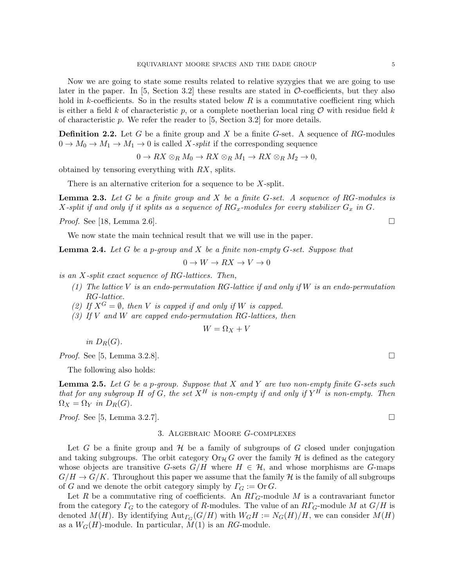Now we are going to state some results related to relative syzygies that we are going to use later in the paper. In  $[5,$  Section 3.2] these results are stated in  $\mathcal{O}\text{-coefficients}$ , but they also hold in k-coefficients. So in the results stated below  $R$  is a commutative coefficient ring which is either a field k of characteristic p, or a complete noetherian local ring  $\mathcal O$  with residue field k of characteristic  $p$ . We refer the reader to [5, Section 3.2] for more details.

**Definition 2.2.** Let G be a finite group and X be a finite G-set. A sequence of  $RG$ -modules  $0 \to M_0 \to M_1 \to M_1 \to 0$  is called X-split if the corresponding sequence

 $0 \to RX \otimes_R M_0 \to RX \otimes_R M_1 \to RX \otimes_R M_2 \to 0$ 

obtained by tensoring everything with RX, splits.

There is an alternative criterion for a sequence to be X-split.

**Lemma 2.3.** Let G be a finite group and X be a finite G-set. A sequence of RG-modules is X-split if and only if it splits as a sequence of  $RG_x$ -modules for every stabilizer  $G_x$  in  $G$ .

*Proof.* See [18, Lemma 2.6].

We now state the main technical result that we will use in the paper.

**Lemma 2.4.** Let  $G$  be a p-group and  $X$  be a finite non-empty  $G$ -set. Suppose that

 $0 \to W \to RX \to V \to 0$ 

is an X-split exact sequence of RG-lattices. Then,

- (1) The lattice V is an endo-permutation RG-lattice if and only if W is an endo-permutation RG-lattice.
- (2) If  $X^G = \emptyset$ , then V is capped if and only if W is capped.
- (3) If V and W are capped endo-permutation RG-lattices, then

 $W = \Omega_X + V$ 

in  $D_R(G)$ .

*Proof.* See [5, Lemma 3.2.8].

The following also holds:

**Lemma 2.5.** Let G be a p-group. Suppose that X and Y are two non-empty finite G-sets such that for any subgroup H of G, the set  $X^H$  is non-empty if and only if  $Y^H$  is non-empty. Then  $\Omega_X = \Omega_Y$  in  $D_R(G)$ .

*Proof.* See [5, Lemma 3.2.7].

## 3. Algebraic Moore G-complexes

Let G be a finite group and  $\mathcal H$  be a family of subgroups of G closed under conjugation and taking subgroups. The orbit category  $\text{Or}_{\mathcal{H}}G$  over the family H is defined as the category whose objects are transitive G-sets  $G/H$  where  $H \in \mathcal{H}$ , and whose morphisms are G-maps  $G/H \to G/K$ . Throughout this paper we assume that the family H is the family of all subgroups of G and we denote the orbit category simply by  $\Gamma_G := \text{Or } G$ .

Let R be a commutative ring of coefficients. An  $R\Gamma_G$ -module M is a contravariant functor from the category  $\Gamma_G$  to the category of R-modules. The value of an  $R\Gamma_G$ -module M at  $G/H$  is denoted  $M(H)$ . By identifying  ${\rm Aut}_{\Gamma_G}(G/H)$  with  $W_GH := N_G(H)/H$ , we can consider  $M(H)$ as a  $W_G(H)$ -module. In particular,  $M(1)$  is an RG-module.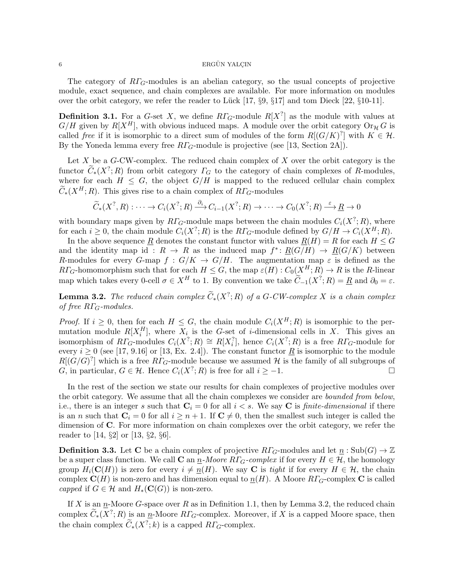The category of  $R\Gamma$ <sub>G</sub>-modules is an abelian category, so the usual concepts of projective module, exact sequence, and chain complexes are available. For more information on modules over the orbit category, we refer the reader to Lück  $[17, \S 9, \S 17]$  and tom Dieck  $[22, \S 10-11]$ .

**Definition 3.1.** For a G-set X, we define  $R\Gamma_G$ -module  $R[X^?]$  as the module with values at  $G/H$  given by  $R[X^H]$ , with obvious induced maps. A module over the orbit category  $Or_H G$  is called free if it is isomorphic to a direct sum of modules of the form  $R[(G/K)^2]$  with  $K \in \mathcal{H}$ . By the Yoneda lemma every free  $R\Gamma_G$ -module is projective (see [13, Section 2A]).

Let  $X$  be a  $G$ -CW-complex. The reduced chain complex of  $X$  over the orbit category is the functor  $\widetilde{C}_*(X^?;R)$  from orbit category  $\Gamma_G$  to the category of chain complexes of R-modules, where for each  $H \leq G$ , the object  $G/H$  is mapped to the reduced cellular chain complex  $\widetilde{C}_*(X^H;R)$ . This gives rise to a chain complex of  $R\Gamma$ <sub>G</sub>-modules

$$
\widetilde{C}_*(X^?, R) : \cdots \to C_i(X^?, R) \xrightarrow{\partial_i} C_{i-1}(X^?, R) \to \cdots \to C_0(X^?, R) \xrightarrow{\varepsilon} \underline{R} \to 0
$$

with boundary maps given by  $R\Gamma_G$ -module maps between the chain modules  $C_i(X^?;R)$ , where for each  $i \geq 0$ , the chain module  $C_i(X^?; R)$  is the  $R\Gamma_G$ -module defined by  $G/H \to C_i(X^H; R)$ .

In the above sequence <u>R</u> denotes the constant functor with values  $R(H) = R$  for each  $H \leq G$ and the identity map id:  $R \to R$  as the induced map  $f^* \colon \underline{R}(G/H) \to \underline{R}(G/K)$  between R-modules for every G-map  $f: G/K \to G/H$ . The augmentation map  $\varepsilon$  is defined as the  $R\Gamma_G$ -homomorphism such that for each  $H \leq G$ , the map  $\varepsilon(H): C_0(X^H; R) \to R$  is the R-linear map which takes every 0-cell  $\sigma \in X^H$  to 1. By convention we take  $\widetilde{C}_{-1}(X^?; R) = \underline{R}$  and  $\partial_0 = \varepsilon$ .

**Lemma 3.2.** The reduced chain complex  $\widetilde{C}_*(X^?; R)$  of a G-CW-complex X is a chain complex  $\widetilde{C}_*(X^?; R)$ of free  $R\Gamma_G$ -modules.

*Proof.* If  $i \geq 0$ , then for each  $H \leq G$ , the chain module  $C_i(X^H; R)$  is isomorphic to the permutation module  $R[X_i^H]$ , where  $X_i$  is the G-set of *i*-dimensional cells in X. This gives an isomorphism of  $R\Gamma_G$ -modules  $C_i(X^?; R) \cong R[X_i^?]$ , hence  $C_i(X^?; R)$  is a free  $R\Gamma_G$ -module for every  $i \ge 0$  (see [17, 9.16] or [13, Ex. 2.4]). The constant functor  $\underline{R}$  is isomorphic to the module  $R[(G/G)^7]$  which is a free  $R\Gamma_G$ -module because we assumed H is the family of all subgroups of G, in particular,  $G \in \mathcal{H}$ . Hence  $C_i(X^?; R)$  is free for all  $i \geq -1$ .

In the rest of the section we state our results for chain complexes of projective modules over the orbit category. We assume that all the chain complexes we consider are bounded from below, i.e., there is an integer s such that  $C_i = 0$  for all  $i < s$ . We say C is *finite-dimensional* if there is an n such that  $C_i = 0$  for all  $i \geq n + 1$ . If  $C \neq 0$ , then the smallest such integer is called the dimension of C. For more information on chain complexes over the orbit category, we refer the reader to [14, §2] or [13, §2, §6].

**Definition 3.3.** Let **C** be a chain complex of projective  $R\Gamma_G$ -modules and let  $\underline{n}$ : Sub $(G) \to \mathbb{Z}$ be a super class function. We call C an  $\underline{n}$ -Moore  $R\Gamma_G$ -complex if for every  $H \in \mathcal{H}$ , the homology group  $H_i(\mathbf{C}(H))$  is zero for every  $i \neq n(H)$ . We say C is tight if for every  $H \in \mathcal{H}$ , the chain complex  $\mathbf{C}(H)$  is non-zero and has dimension equal to  $\underline{n}(H)$ . A Moore  $R\Gamma_G$ -complex C is called capped if  $G \in \mathcal{H}$  and  $H_*(\mathbf{C}(G))$  is non-zero.

If X is an n-Moore G-space over R as in Definition 1.1, then by Lemma 3.2, the reduced chain complex  $\widetilde{C}_{*}(X^{?};R)$  is an  $\underline{n}$ -Moore  $R\Gamma_{G}$ -complex. Moreover, if X is a capped Moore space, then the chain complex  $\widetilde{C}_*(X^?; k)$  is a capped  $R\Gamma_G$ -complex.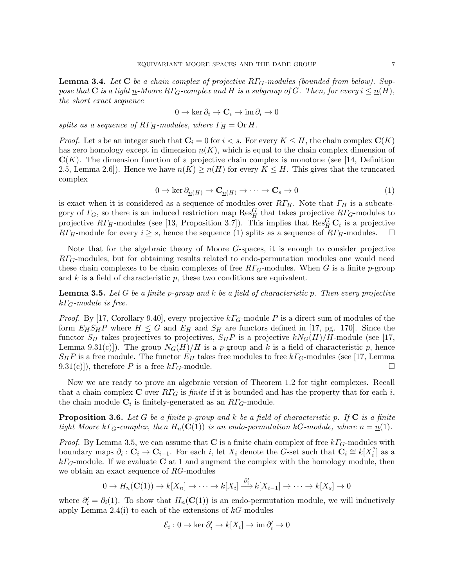**Lemma 3.4.** Let C be a chain complex of projective  $R\Gamma_G$ -modules (bounded from below). Suppose that **C** is a tight n-Moore  $R\Gamma_G$ -complex and H is a subgroup of G. Then, for every  $i \leq n(H)$ , the short exact sequence

$$
0 \to \ker \partial_i \to \mathbf{C}_i \to \mathrm{im}\,\partial_i \to 0
$$

splits as a sequence of  $R\Gamma_H$ -modules, where  $\Gamma_H = \text{Or } H$ .

*Proof.* Let s be an integer such that  $C_i = 0$  for  $i < s$ . For every  $K \leq H$ , the chain complex  $\mathbf{C}(K)$ has zero homology except in dimension  $n(K)$ , which is equal to the chain complex dimension of  $\mathbf{C}(K)$ . The dimension function of a projective chain complex is monotone (see [14, Definition 2.5, Lemma 2.6]). Hence we have  $\underline{n}(K) \ge \underline{n}(H)$  for every  $K \le H$ . This gives that the truncated complex

$$
0 \to \ker \partial_{\underline{n}(H)} \to \mathbf{C}_{\underline{n}(H)} \to \cdots \to \mathbf{C}_{s} \to 0
$$
\n<sup>(1)</sup>

is exact when it is considered as a sequence of modules over  $RT_H$ . Note that  $\Gamma_H$  is a subcategory of  $\Gamma_G$ , so there is an induced restriction map  $\text{Res}_{H}^G$  that takes projective  $R\Gamma_G$ -modules to projective  $R\Gamma_H$ -modules (see [13, Proposition 3.7]). This implies that  $\text{Res}_H^G\mathbf{C}_i$  is a projective  $RT_H$ -module for every  $i \geq s$ , hence the sequence (1) splits as a sequence of  $RT_H$ -modules.

Note that for the algebraic theory of Moore G-spaces, it is enough to consider projective  $RT_G$ -modules, but for obtaining results related to endo-permutation modules one would need these chain complexes to be chain complexes of free  $RT_G$ -modules. When G is a finite p-group and  $k$  is a field of characteristic  $p$ , these two conditions are equivalent.

**Lemma 3.5.** Let G be a finite p-group and k be a field of characteristic p. Then every projective  $k\Gamma$ <sub>G</sub>-module is free.

*Proof.* By [17, Corollary 9.40], every projective  $k\Gamma_G$ -module P is a direct sum of modules of the form  $E_H S_H P$  where  $H \leq G$  and  $E_H$  and  $S_H$  are functors defined in [17, pg. 170]. Since the functor  $S_H$  takes projectives to projectives,  $S_H P$  is a projective  $kN_G(H)/H$ -module (see [17, Lemma 9.31(c)]). The group  $N_G(H)/H$  is a p-group and k is a field of characteristic p, hence  $S_H P$  is a free module. The functor  $E_H$  takes free modules to free  $kT_G$ -modules (see [17, Lemma 9.31(c)]), therefore P is a free  $k\Gamma_G$ -module.

Now we are ready to prove an algebraic version of Theorem 1.2 for tight complexes. Recall that a chain complex C over  $R\Gamma_G$  is finite if it is bounded and has the property that for each i, the chain module  $\mathbf{C}_i$  is finitely-generated as an  $R\Gamma_G$ -module.

**Proposition 3.6.** Let G be a finite p-group and k be a field of characteristic p. If  $C$  is a finite tight Moore k $\Gamma_G$ -complex, then  $H_n(\mathbf{C}(1))$  is an endo-permutation kG-module, where  $n = n(1)$ .

*Proof.* By Lemma 3.5, we can assume that C is a finite chain complex of free  $k\Gamma$ <sub>G</sub>-modules with boundary maps  $\partial_i : \mathbf{C}_i \to \mathbf{C}_{i-1}$ . For each i, let  $X_i$  denote the G-set such that  $\mathbf{C}_i \cong k[X_i^?]$  as a  $k\Gamma_G$ -module. If we evaluate **C** at 1 and augment the complex with the homology module, then we obtain an exact sequence of RG-modules

$$
0 \to H_n(\mathbf{C}(1)) \to k[X_n] \to \cdots \to k[X_i] \xrightarrow{\partial_i'} k[X_{i-1}] \to \cdots \to k[X_s] \to 0
$$

where  $\partial_i' = \partial_i(1)$ . To show that  $H_n(\mathbf{C}(1))$  is an endo-permutation module, we will inductively apply Lemma  $2.4(i)$  to each of the extensions of  $k$ -modules

$$
\mathcal{E}_i: 0 \to \ker \partial_i' \to k[X_i] \to \mathrm{im}\,\partial_i' \to 0
$$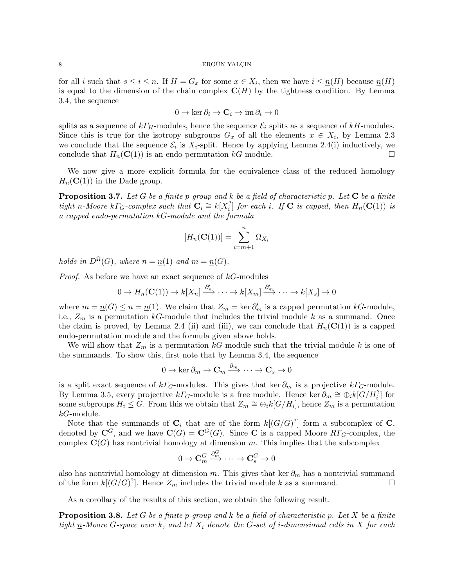for all i such that  $s \leq i \leq n$ . If  $H = G_x$  for some  $x \in X_i$ , then we have  $i \leq \underline{n}(H)$  because  $\underline{n}(H)$ is equal to the dimension of the chain complex  $\mathbf{C}(H)$  by the tightness condition. By Lemma 3.4, the sequence

$$
0 \to \ker \partial_i \to \mathbf{C}_i \to \mathrm{im}\,\partial_i \to 0
$$

splits as a sequence of  $k\Gamma_H$ -modules, hence the sequence  $\mathcal{E}_i$  splits as a sequence of  $kH$ -modules. Since this is true for the isotropy subgroups  $G_x$  of all the elements  $x \in X_i$ , by Lemma 2.3 we conclude that the sequence  $\mathcal{E}_i$  is  $X_i$ -split. Hence by applying Lemma 2.4(i) inductively, we conclude that  $H_n(\mathbf{C}(1))$  is an endo-permutation kG-module.

We now give a more explicit formula for the equivalence class of the reduced homology  $H_n(\mathbf{C}(1))$  in the Dade group.

**Proposition 3.7.** Let G be a finite p-group and k be a field of characteristic p. Let  $C$  be a finite tight <u>n</u>-Moore k $\Gamma_G$ -complex such that  $\mathbf{C}_i \cong k[X_i^?]$  for each i. If  $\mathbf{C}$  is capped, then  $H_n(\mathbf{C}(1))$  is a capped endo-permutation kG-module and the formula

$$
[H_n(\mathbf{C}(1))] = \sum_{i=m+1}^n \Omega_{X_i}
$$

holds in  $D^{\Omega}(G)$ , where  $n = n(1)$  and  $m = n(G)$ .

*Proof.* As before we have an exact sequence of  $k$ -modules

$$
0 \to H_n(\mathbf{C}(1)) \to k[X_n] \xrightarrow{\partial'_n} \cdots \to k[X_m] \xrightarrow{\partial'_m} \cdots \to k[X_s] \to 0
$$

where  $m = \underline{n}(G) \leq n = \underline{n}(1)$ . We claim that  $Z_m = \ker \partial'_m$  is a capped permutation kG-module, i.e.,  $Z_m$  is a permutation kG-module that includes the trivial module k as a summand. Once the claim is proved, by Lemma 2.4 (ii) and (iii), we can conclude that  $H_n(\mathbf{C}(1))$  is a capped endo-permutation module and the formula given above holds.

We will show that  $Z_m$  is a permutation kG-module such that the trivial module k is one of the summands. To show this, first note that by Lemma 3.4, the sequence

$$
0 \to \ker \partial_m \to \mathbf{C}_m \xrightarrow{\partial_m} \cdots \to \mathbf{C}_s \to 0
$$

is a split exact sequence of  $k\Gamma_G$ -modules. This gives that ker  $\partial_m$  is a projective  $k\Gamma_G$ -module. By Lemma 3.5, every projective  $k\Gamma_G$ -module is a free module. Hence ker  $\partial_m \cong \bigoplus_i k[\tilde{G}/H_i^?]$  for some subgroups  $H_i \leq G$ . From this we obtain that  $Z_m \cong \bigoplus_i k[G/H_i]$ , hence  $Z_m$  is a permutation kG-module.

Note that the summands of  $\mathbf{C}_i$  that are of the form  $k[(G/G)^7]$  form a subcomplex of  $\mathbf{C}_i$ , denoted by  $\mathbf{C}^G$ , and we have  $\mathbf{C}(G) = \mathbf{C}^G(G)$ . Since **C** is a capped Moore  $R\Gamma_G$ -complex, the complex  $\mathbf{C}(G)$  has nontrivial homology at dimension m. This implies that the subcomplex

$$
0 \to \mathbf{C}_m^G \xrightarrow{\partial_m^G} \cdots \to \mathbf{C}_s^G \to 0
$$

also has nontrivial homology at dimension m. This gives that ker  $\partial_m$  has a nontrivial summand of the form  $k[(G/G)^?]$ . Hence  $Z_m$  includes the trivial module k as a summand.

As a corollary of the results of this section, we obtain the following result.

**Proposition 3.8.** Let G be a finite p-group and k be a field of characteristic p. Let X be a finite tight  $n$ -Moore G-space over k, and let  $X_i$  denote the G-set of *i*-dimensional cells in X for each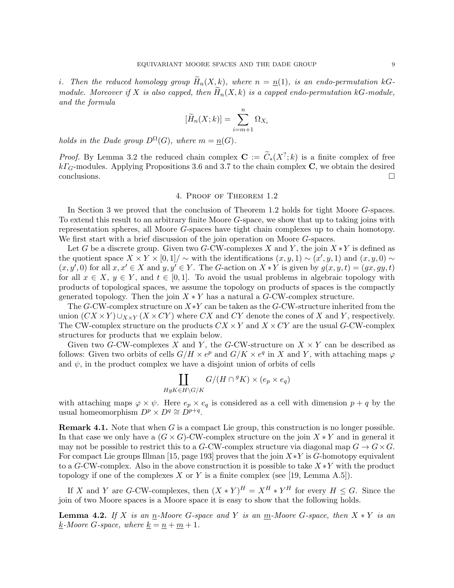i. Then the reduced homology group  $\widetilde{H}_n(X,k)$ , where  $n = n(1)$ , is an endo-permutation kGmodule. Moreover if X is also capped, then  $\widetilde{H}_n(X, k)$  is a capped endo-permutation kG-module, and the formula

$$
[\widetilde{H}_n(X;k)] = \sum_{i=m+1}^n \Omega_{X_i}
$$

holds in the Dade group  $D^{\Omega}(G)$ , where  $m = n(G)$ .

*Proof.* By Lemma 3.2 the reduced chain complex  $\mathbf{C} := \widetilde{C}_*(X^?; k)$  is a finite complex of free  $k\Gamma$ <sub>G</sub>-modules. Applying Propositions 3.6 and 3.7 to the chain complex C, we obtain the desired conclusions.

## 4. Proof of Theorem 1.2

In Section 3 we proved that the conclusion of Theorem 1.2 holds for tight Moore G-spaces. To extend this result to an arbitrary finite Moore G-space, we show that up to taking joins with representation spheres, all Moore G-spaces have tight chain complexes up to chain homotopy. We first start with a brief discussion of the join operation on Moore G-spaces.

Let G be a discrete group. Given two G-CW-complexes X and Y, the join  $X * Y$  is defined as the quotient space  $X \times Y \times [0,1] / \sim$  with the identifications  $(x, y, 1) \sim (x', y, 1)$  and  $(x, y, 0) \sim$  $(x, y', 0)$  for all  $x, x' \in X$  and  $y, y' \in Y$ . The G-action on  $X * Y$  is given by  $g(x, y, t) = (gx, gy, t)$ for all  $x \in X$ ,  $y \in Y$ , and  $t \in [0,1]$ . To avoid the usual problems in algebraic topology with products of topological spaces, we assume the topology on products of spaces is the compactly generated topology. Then the join  $X * Y$  has a natural a  $G$ -CW-complex structure.

The G-CW-complex structure on  $X*Y$  can be taken as the G-CW-structure inherited from the union  $(CX \times Y) \cup_{X \times Y} (X \times CY)$  where CX and CY denote the cones of X and Y, respectively. The CW-complex structure on the products  $CX \times Y$  and  $X \times CY$  are the usual G-CW-complex structures for products that we explain below.

Given two G-CW-complexes X and Y, the G-CW-structure on  $X \times Y$  can be described as follows: Given two orbits of cells  $G/H \times e^p$  and  $G/K \times e^q$  in X and Y, with attaching maps  $\varphi$ and  $\psi$ , in the product complex we have a disjoint union of orbits of cells

$$
\coprod_{HgK \in H \backslash G/K} G/(H \cap {}^{g}K) \times (e_p \times e_q)
$$

with attaching maps  $\varphi \times \psi$ . Here  $e_p \times e_q$  is considered as a cell with dimension  $p + q$  by the usual homeomorphism  $D^p \times D^q \cong D^{p+q}$ .

**Remark 4.1.** Note that when  $G$  is a compact Lie group, this construction is no longer possible. In that case we only have a  $(G \times G)$ -CW-complex structure on the join  $X * Y$  and in general it may not be possible to restrict this to a G-CW-complex structure via diagonal map  $G \to G \times G$ . For compact Lie groups Illman [15, page 193] proves that the join  $X*Y$  is G-homotopy equivalent to a G-CW-complex. Also in the above construction it is possible to take  $X*Y$  with the product topology if one of the complexes X or Y is a finite complex (see [19, Lemma A.5]).

If X and Y are G-CW-complexes, then  $(X * Y)^{H} = X^{H} * Y^{H}$  for every  $H \leq G$ . Since the join of two Moore spaces is a Moore space it is easy to show that the following holds.

**Lemma 4.2.** If X is an  $\underline{n}$ -Moore G-space and Y is an  $\underline{m}$ -Moore G-space, then  $X * Y$  is an <u>k</u>-Moore G-space, where <u>k</u> =  $n + m + 1$ .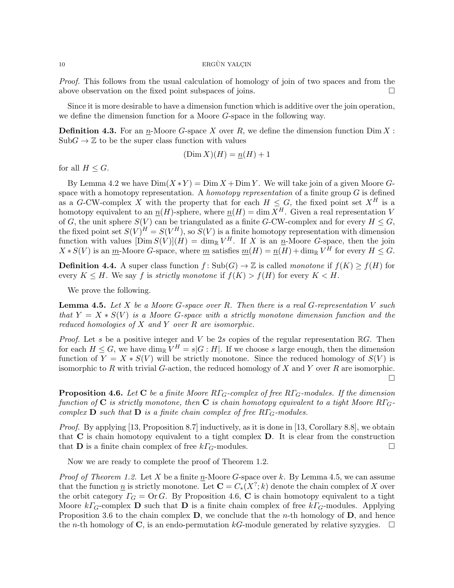Proof. This follows from the usual calculation of homology of join of two spaces and from the above observation on the fixed point subspaces of joins.

Since it is more desirable to have a dimension function which is additive over the join operation, we define the dimension function for a Moore G-space in the following way.

**Definition 4.3.** For an  $n$ -Moore G-space X over R, we define the dimension function Dim X:  $SubG \to \mathbb{Z}$  to be the super class function with values

$$
(\text{Dim } X)(H) = \underline{n}(H) + 1
$$

for all  $H \leq G$ .

By Lemma 4.2 we have  $Dim(X*Y) = Dim X + Dim Y$ . We will take join of a given Moore Gspace with a homotopy representation. A *homotopy representation* of a finite group  $G$  is defined as a G-CW-complex X with the property that for each  $H \leq G$ , the fixed point set  $X^H$  is a homotopy equivalent to an  $\underline{n}(H)$ -sphere, where  $\underline{n}(H) = \dim \overline{X}^H$ . Given a real representation V of G, the unit sphere  $S(V)$  can be triangulated as a finite G-CW-complex and for every  $H \leq G$ , the fixed point set  $S(V)^H = S(V^H)$ , so  $S(V)$  is a finite homotopy representation with dimension function with values  $[\text{Dim }S(V)](H) = \dim_{\mathbb{R}} V^H$ . If X is an n-Moore G-space, then the join  $X * S(V)$  is an  $\underline{m}$ -Moore G-space, where  $\underline{m}$  satisfies  $\underline{m}(H) = \underline{n}(H) + \dim_{\mathbb{R}} V^H$  for every  $H \leq G$ .

**Definition 4.4.** A super class function  $f: Sub(G) \to \mathbb{Z}$  is called monotone if  $f(K) > f(H)$  for every  $K \leq H$ . We say f is strictly monotone if  $f(K) > f(H)$  for every  $K \leq H$ .

We prove the following.

**Lemma 4.5.** Let X be a Moore G-space over R. Then there is a real G-representation V such that  $Y = X * S(V)$  is a Moore G-space with a strictly monotone dimension function and the reduced homologies of  $X$  and  $Y$  over  $R$  are isomorphic.

*Proof.* Let s be a positive integer and V be 2s copies of the regular representation  $\mathbb{R}G$ . Then for each  $H \leq G$ , we have  $\dim_{\mathbb{R}} V^H = s | G : H |$ . If we choose s large enough, then the dimension function of  $Y = X * S(V)$  will be strictly monotone. Since the reduced homology of  $S(V)$  is isomorphic to R with trivial G-action, the reduced homology of X and Y over R are isomorphic.  $\Box$ 

**Proposition 4.6.** Let C be a finite Moore  $R\Gamma_G$ -complex of free  $R\Gamma_G$ -modules. If the dimension function of C is strictly monotone, then C is chain homotopy equivalent to a tight Moore  $R\Gamma$ <sub>G</sub>complex  $\bf{D}$  such that  $\bf{D}$  is a finite chain complex of free R $\Gamma$ <sub>G</sub>-modules.

*Proof.* By applying [13, Proposition 8.7] inductively, as it is done in [13, Corollary 8.8], we obtain that  $C$  is chain homotopy equivalent to a tight complex  $D$ . It is clear from the construction that **D** is a finite chain complex of free  $k\Gamma_G$ -modules.

Now we are ready to complete the proof of Theorem 1.2.

*Proof of Theorem 1.2.* Let X be a finite n-Moore G-space over k. By Lemma 4.5, we can assume that the function  $\underline{n}$  is strictly monotone. Let  $\mathbf{C} = C_*(X^?; k)$  denote the chain complex of X over the orbit category  $\Gamma_G = \text{Or } G$ . By Proposition 4.6, C is chain homotopy equivalent to a tight Moore  $k\Gamma$ <sub>G</sub>-complex **D** such that **D** is a finite chain complex of free  $k\Gamma$ <sub>G</sub>-modules. Applying Proposition 3.6 to the chain complex  $D$ , we conclude that the *n*-th homology of  $D$ , and hence the *n*-th homology of **C**, is an endo-permutation kG-module generated by relative syzygies.  $\square$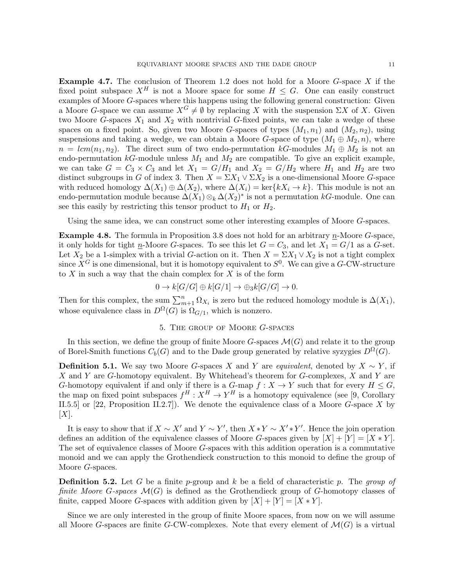**Example 4.7.** The conclusion of Theorem 1.2 does not hold for a Moore  $G$ -space  $X$  if the fixed point subspace  $X^H$  is not a Moore space for some  $H \leq G$ . One can easily construct examples of Moore G-spaces where this happens using the following general construction: Given a Moore G-space we can assume  $X^G \neq \emptyset$  by replacing X with the suspension  $\Sigma X$  of X. Given two Moore G-spaces  $X_1$  and  $X_2$  with nontrivial G-fixed points, we can take a wedge of these spaces on a fixed point. So, given two Moore G-spaces of types  $(M_1, n_1)$  and  $(M_2, n_2)$ , using suspensions and taking a wedge, we can obtain a Moore G-space of type  $(M_1 \oplus M_2, n)$ , where  $n = lcm(n_1, n_2)$ . The direct sum of two endo-permutation kG-modules  $M_1 \oplus M_2$  is not an endo-permutation  $k$ -module unless  $M_1$  and  $M_2$  are compatible. To give an explicit example, we can take  $G = C_3 \times C_3$  and let  $X_1 = G/H_1$  and  $X_2 = G/H_2$  where  $H_1$  and  $H_2$  are two distinct subgroups in G of index 3. Then  $X = \Sigma X_1 \vee \Sigma X_2$  is a one-dimensional Moore G-space with reduced homology  $\Delta(X_1) \oplus \Delta(X_2)$ , where  $\Delta(X_i) = \text{ker}\{kX_i \to k\}$ . This module is not an endo-permutation module because  $\Delta(X_1) \otimes_k \Delta(X_2)^*$  is not a permutation kG-module. One can see this easily by restricting this tensor product to  $H_1$  or  $H_2$ .

Using the same idea, we can construct some other interesting examples of Moore G-spaces.

**Example 4.8.** The formula in Proposition 3.8 does not hold for an arbitrary  $n$ -Moore G-space, it only holds for tight n-Moore G-spaces. To see this let  $G = C_3$ , and let  $X_1 = G/1$  as a G-set. Let  $X_2$  be a 1-simplex with a trivial G-action on it. Then  $X = \Sigma X_1 \vee X_2$  is not a tight complex since  $X^G$  is one dimensional, but it is homotopy equivalent to  $S^0$ . We can give a G-CW-structure to  $X$  in such a way that the chain complex for  $X$  is of the form

$$
0 \to k[G/G] \oplus k[G/1] \to \oplus_3 k[G/G] \to 0.
$$

Then for this complex, the sum  $\sum_{m+1}^{n} \Omega_{X_i}$  is zero but the reduced homology module is  $\Delta(X_1)$ , whose equivalence class in  $D^{\Omega}(G)$  is  $\Omega_{G/1}$ , which is nonzero.

## 5. The group of Moore G-spaces

In this section, we define the group of finite Moore  $G$ -spaces  $\mathcal{M}(G)$  and relate it to the group of Borel-Smith functions  $C_b(G)$  and to the Dade group generated by relative syzygies  $D^{\Omega}(G)$ .

**Definition 5.1.** We say two Moore G-spaces X and Y are *equivalent*, denoted by  $X \sim Y$ , if X and Y are G-homotopy equivalent. By Whitehead's theorem for G-complexes,  $X$  and  $Y$  are G-homotopy equivalent if and only if there is a G-map  $f : X \to Y$  such that for every  $H \leq G$ , the map on fixed point subspaces  $f^H: X^H \to Y^H$  is a homotopy equivalence (see [9, Corollary II.5.5] or [22, Proposition II.2.7]). We denote the equivalence class of a Moore  $G$ -space X by  $[X]$ .

It is easy to show that if  $X \sim X'$  and  $Y \sim Y'$ , then  $X * Y \sim X' * Y'$ . Hence the join operation defines an addition of the equivalence classes of Moore G-spaces given by  $[X] + [Y] = [X * Y]$ . The set of equivalence classes of Moore G-spaces with this addition operation is a commutative monoid and we can apply the Grothendieck construction to this monoid to define the group of Moore G-spaces.

**Definition 5.2.** Let G be a finite p-group and k be a field of characteristic p. The group of finite Moore G-spaces  $\mathcal{M}(G)$  is defined as the Grothendieck group of G-homotopy classes of finite, capped Moore G-spaces with addition given by  $[X] + [Y] = [X * Y]$ .

Since we are only interested in the group of finite Moore spaces, from now on we will assume all Moore G-spaces are finite G-CW-complexes. Note that every element of  $\mathcal{M}(G)$  is a virtual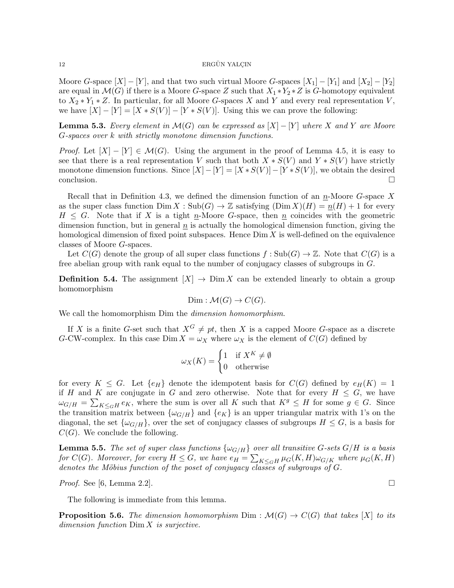Moore G-space  $[X] - [Y]$ , and that two such virtual Moore G-spaces  $[X_1] - [Y_1]$  and  $[X_2] - [Y_2]$ are equal in  $\mathcal{M}(G)$  if there is a Moore G-space Z such that  $X_1 * Y_2 * Z$  is G-homotopy equivalent to  $X_2 * Y_1 * Z$ . In particular, for all Moore G-spaces X and Y and every real representation V, we have  $[X] - [Y] = [X * S(V)] - [Y * S(V)]$ . Using this we can prove the following:

**Lemma 5.3.** Every element in  $\mathcal{M}(G)$  can be expressed as  $[X] - [Y]$  where X and Y are Moore G-spaces over k with strictly monotone dimension functions.

*Proof.* Let  $[X] - [Y] \in \mathcal{M}(G)$ . Using the argument in the proof of Lemma 4.5, it is easy to see that there is a real representation V such that both  $X * S(V)$  and  $Y * S(V)$  have strictly monotone dimension functions. Since  $[X] - [Y] = [X * S(V)] - [Y * S(V)]$ , we obtain the desired  $\Box$ conclusion.

Recall that in Definition 4.3, we defined the dimension function of an  $n$ -Moore G-space X as the super class function  $\text{Dim } X : \text{Sub}(G) \to \mathbb{Z}$  satisfying  $(\text{Dim } X)(H) = \underline{n}(H) + 1$  for every  $H \leq G$ . Note that if X is a tight n-Moore G-space, then n coincides with the geometric dimension function, but in general  $n$  is actually the homological dimension function, giving the homological dimension of fixed point subspaces. Hence  $Dim X$  is well-defined on the equivalence classes of Moore G-spaces.

Let  $C(G)$  denote the group of all super class functions  $f : Sub(G) \to \mathbb{Z}$ . Note that  $C(G)$  is a free abelian group with rank equal to the number of conjugacy classes of subgroups in G.

**Definition 5.4.** The assignment  $[X] \to \text{Dim } X$  can be extended linearly to obtain a group homomorphism

$$
Dim: \mathcal{M}(G) \to C(G).
$$

We call the homomorphism Dim the *dimension homomorphism*.

If X is a finite G-set such that  $X^G \neq pt$ , then X is a capped Moore G-space as a discrete G-CW-complex. In this case  $\text{Dim } X = \omega_X$  where  $\omega_X$  is the element of  $C(G)$  defined by

$$
\omega_X(K) = \begin{cases} 1 & \text{if } X^K \neq \emptyset \\ 0 & \text{otherwise} \end{cases}
$$

for every  $K \leq G$ . Let  $\{e_H\}$  denote the idempotent basis for  $C(G)$  defined by  $e_H(K) = 1$ if H and K are conjugate in G and zero otherwise. Note that for every  $H \leq G$ , we have  $\omega_{G/H} = \sum_{K \leq_G H} e_K$ , where the sum is over all K such that  $K^g \leq H$  for some  $g \in G$ . Since the transition matrix between  $\{\omega_{G/H}\}\$  and  $\{e_K\}\$ is an upper triangular matrix with 1's on the diagonal, the set  $\{\omega_{G/H}\}\text{, over the set of conjugacy classes of subgroups }H\leq G\text{, is a basis for }$  $C(G)$ . We conclude the following.

**Lemma 5.5.** The set of super class functions  $\{\omega_{G/H}\}\$  over all transitive G-sets  $G/H$  is a basis for  $C(G)$ . Moreover, for every  $H \leq G$ , we have  $e_H = \sum_{K \leq_G H} \mu_G(K,H) \omega_{G/K}$  where  $\mu_G(K,H)$ denotes the Möbius function of the poset of conjugacy classes of subgroups of  $G$ .

*Proof.* See [6, Lemma 2.2].

The following is immediate from this lemma.

**Proposition 5.6.** The dimension homomorphism  $Dim : \mathcal{M}(G) \to C(G)$  that takes [X] to its dimension function Dim X is surjective.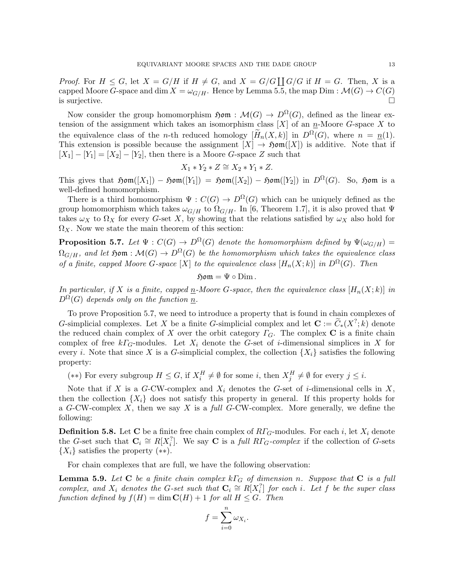*Proof.* For  $H \leq G$ , let  $X = G/H$  if  $H \neq G$ , and  $X = G/G \coprod G/G$  if  $H = G$ . Then, X is a capped Moore G-space and dim  $X = \omega_{G/H}$ . Hence by Lemma 5.5, the map Dim :  $\mathcal{M}(G) \to C(G)$ is surjective.

Now consider the group homomorphism  $\mathfrak{Hom} : \mathcal{M}(G) \to D^{\Omega}(G)$ , defined as the linear extension of the assignment which takes an isomorphism class  $[X]$  of an  $n$ -Moore G-space X to the equivalence class of the *n*-th reduced homology  $[\widetilde{H}_n(X,k)]$  in  $D^{\Omega}(G)$ , where  $n = n(1)$ . This extension is possible because the assignment  $[X] \to \mathfrak{Hom}([X])$  is additive. Note that if  $[X_1] - [Y_1] = [X_2] - [Y_2]$ , then there is a Moore G-space Z such that

$$
X_1 * Y_2 * Z \cong X_2 * Y_1 * Z.
$$

This gives that  $\mathfrak{Hom}([X_1]) - \mathfrak{Hom}([Y_1]) = \mathfrak{Hom}([X_2]) - \mathfrak{Hom}([Y_2])$  in  $D^{\Omega}(G)$ . So,  $\mathfrak{Hom}$  is a well-defined homomorphism.

There is a third homomorphism  $\Psi : C(G) \to D^{\Omega}(G)$  which can be uniquely defined as the group homomorphism which takes  $\omega_{G/H}$  to  $\Omega_{G/H}$ . In [6, Theorem 1.7], it is also proved that  $\Psi$ takes  $\omega_X$  to  $\Omega_X$  for every G-set X, by showing that the relations satisfied by  $\omega_X$  also hold for  $\Omega_X$ . Now we state the main theorem of this section:

**Proposition 5.7.** Let  $\Psi : C(G) \to D^{\Omega}(G)$  denote the homomorphism defined by  $\Psi(\omega_{G/H}) =$  $\Omega_{G/H}$ , and let  $\mathfrak{Hom} : \mathcal{M}(G) \to D^{\Omega}(G)$  be the homomorphism which takes the equivalence class of a finite, capped Moore G-space [X] to the equivalence class  $[H_n(X;k)]$  in  $D^{\Omega}(G)$ . Then

 $\mathfrak{Hom} = \Psi \circ \text{Dim}.$ 

In particular, if X is a finite, capped  $\underline{n}$ -Moore G-space, then the equivalence class  $[H_n(X;k)]$  in  $D^{\Omega}(G)$  depends only on the function n.

To prove Proposition 5.7, we need to introduce a property that is found in chain complexes of G-simplicial complexes. Let X be a finite G-simplicial complex and let  $\mathbf{C} := \widetilde{C}_*(X^?; k)$  denote the reduced chain complex of X over the orbit category  $\Gamma_G$ . The complex C is a finite chain complex of free  $k\Gamma$ <sub>G</sub>-modules. Let  $X_i$  denote the G-set of *i*-dimensional simplices in X for every i. Note that since X is a G-simplicial complex, the collection  $\{X_i\}$  satisfies the following property:

(\*\*) For every subgroup  $H \leq G$ , if  $X_i^H \neq \emptyset$  for some i, then  $X_j^H \neq \emptyset$  for every  $j \leq i$ .

Note that if X is a G-CW-complex and  $X_i$  denotes the G-set of *i*-dimensional cells in X, then the collection  $\{X_i\}$  does not satisfy this property in general. If this property holds for a G-CW-complex  $X$ , then we say  $X$  is a *full G-CW-complex*. More generally, we define the following:

**Definition 5.8.** Let C be a finite free chain complex of  $R\Gamma_G$ -modules. For each i, let  $X_i$  denote the G-set such that  $C_i \cong R[X_i^?]$ . We say C is a full  $R\Gamma_G\text{-complex}$  if the collection of G-sets  $\{X_i\}$  satisfies the property  $(**)$ .

For chain complexes that are full, we have the following observation:

**Lemma 5.9.** Let C be a finite chain complex  $k\Gamma_G$  of dimension n. Suppose that C is a full complex, and  $X_i$  denotes the G-set such that  $\mathbf{C}_i \cong R[X_i^?]$  for each i. Let f be the super class function defined by  $f(H) = \dim \mathbf{C}(H) + 1$  for all  $H \leq G$ . Then

$$
f = \sum_{i=0}^{n} \omega_{X_i}.
$$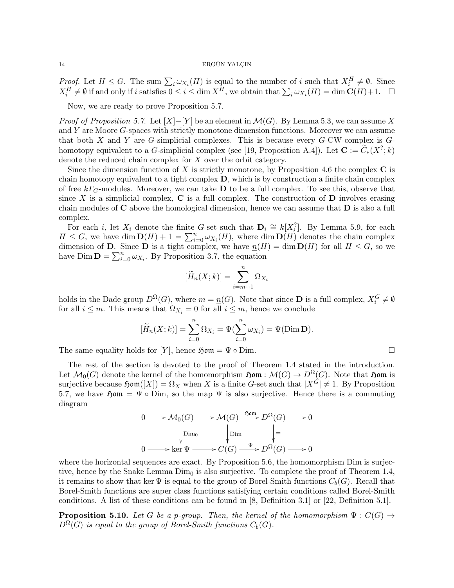*Proof.* Let  $H \leq G$ . The sum  $\sum_i \omega_{X_i}(H)$  is equal to the number of i such that  $X_i^H \neq \emptyset$ . Since  $X_i^H \neq \emptyset$  if and only if i satisfies  $0 \leq i \leq \dim X^H$ , we obtain that  $\sum_i \omega_{X_i}(H) = \dim \mathbf{C}(H) + 1$ .  $\Box$ 

Now, we are ready to prove Proposition 5.7.

*Proof of Proposition 5.7.* Let  $[X]-[Y]$  be an element in  $\mathcal{M}(G)$ . By Lemma 5.3, we can assume X and Y are Moore G-spaces with strictly monotone dimension functions. Moreover we can assume that both  $X$  and  $Y$  are  $G$ -simplicial complexes. This is because every  $G$ -CW-complex is  $G$ homotopy equivalent to a G-simplicial complex (see [19, Proposition A.4]). Let  $\mathbf{C} := \widetilde{C}_*(X^?; k)$ denote the reduced chain complex for X over the orbit category.

Since the dimension function of X is strictly monotone, by Proposition 4.6 the complex  $C$  is chain homotopy equivalent to a tight complex D, which is by construction a finite chain complex of free  $k\Gamma_G$ -modules. Moreover, we can take **D** to be a full complex. To see this, observe that since X is a simplicial complex,  $\bf{C}$  is a full complex. The construction of  $\bf{D}$  involves erasing chain modules of C above the homological dimension, hence we can assume that D is also a full complex.

For each *i*, let  $X_i$  denote the finite G-set such that  $\mathbf{D}_i \cong k[X_i^?]$ . By Lemma 5.9, for each  $H \leq G$ , we have dim  $\mathbf{D}(H) + 1 = \sum_{i=0}^{n} \omega_{X_i}(H)$ , where dim  $\mathbf{D}(H)$  denotes the chain complex dimension of **D**. Since **D** is a tight complex, we have  $\underline{n}(H) = \dim \mathbf{D}(H)$  for all  $H \leq G$ , so we have Dim  $\mathbf{D} = \sum_{i=0}^{n} \omega_{X_i}$ . By Proposition 3.7, the equation

$$
[\widetilde{H}_n(X;k)] = \sum_{i=m+1}^n \Omega_{X_i}
$$

holds in the Dade group  $D^{\Omega}(G)$ , where  $m = \underline{n}(G)$ . Note that since **D** is a full complex,  $X_i^G \neq \emptyset$ for all  $i \leq m$ . This means that  $\Omega_{X_i} = 0$  for all  $i \leq m$ , hence we conclude

$$
[\widetilde{H}_n(X;k)] = \sum_{i=0}^n \Omega_{X_i} = \Psi(\sum_{i=0}^n \omega_{X_i}) = \Psi(\text{Dim }\mathbf{D}).
$$

The same equality holds for [Y], hence  $\mathfrak{Hom} = \Psi \circ \text{Dim}.$ 

The rest of the section is devoted to the proof of Theorem 1.4 stated in the introduction. Let  $\mathcal{M}_0(G)$  denote the kernel of the homomorphism  $\mathfrak{Hom} : \mathcal{M}(G) \to D^{\Omega}(G)$ . Note that  $\mathfrak{Hom}$  is surjective because  $\mathfrak{Hom}([X]) = \Omega_X$  when X is a finite G-set such that  $|X^{\tilde{G}}| \neq 1$ . By Proposition 5.7, we have  $\mathfrak{Hom} = \Psi \circ \text{Dim}$ , so the map  $\Psi$  is also surjective. Hence there is a commuting diagram

$$
0 \longrightarrow \mathcal{M}_0(G) \longrightarrow \mathcal{M}(G) \xrightarrow{\text{Sym}} D^{\Omega}(G) \longrightarrow 0
$$
  
\n
$$
\downarrow \text{Dim}_{0} \qquad \qquad \downarrow \text{Dim}_{0} \qquad \qquad \downarrow =
$$
  
\n
$$
0 \longrightarrow \text{ker } \Psi \longrightarrow C(G) \xrightarrow{\Psi} D^{\Omega}(G) \longrightarrow 0
$$

where the horizontal sequences are exact. By Proposition 5.6, the homomorphism Dim is surjective, hence by the Snake Lemma  $Dim<sub>0</sub>$  is also surjective. To complete the proof of Theorem 1.4, it remains to show that ker  $\Psi$  is equal to the group of Borel-Smith functions  $C_b(G)$ . Recall that Borel-Smith functions are super class functions satisfying certain conditions called Borel-Smith conditions. A list of these conditions can be found in [8, Definition 3.1] or [22, Definition 5.1].

**Proposition 5.10.** Let G be a p-group. Then, the kernel of the homomorphism  $\Psi : C(G) \rightarrow$  $D^{\Omega}(G)$  is equal to the group of Borel-Smith functions  $C_b(G)$ .

$$
\Box
$$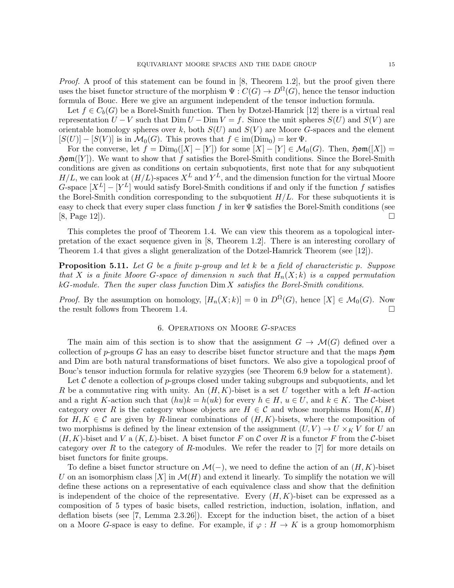Proof. A proof of this statement can be found in [8, Theorem 1.2], but the proof given there uses the biset functor structure of the morphism  $\Psi: C(G) \to D^{\Omega}(G)$ , hence the tensor induction formula of Bouc. Here we give an argument independent of the tensor induction formula.

Let  $f \in C_b(G)$  be a Borel-Smith function. Then by Dotzel-Hamrick [12] there is a virtual real representation  $U - V$  such that  $\text{Dim } U - \text{Dim } V = f$ . Since the unit spheres  $S(U)$  and  $S(V)$  are orientable homology spheres over k, both  $S(U)$  and  $S(V)$  are Moore G-spaces and the element  $[S(U)] - [S(V)]$  is in  $\mathcal{M}_0(G)$ . This proves that  $f \in \text{im}(Dim_0) = \text{ker } \Psi$ .

For the converse, let  $f = \text{Dim}_{0}(X - Y)$  for some  $|X| - Y \in \mathcal{M}_{0}(G)$ . Then,  $\mathfrak{Hom}([X]) =$  $\mathfrak{Hom}([Y])$ . We want to show that f satisfies the Borel-Smith conditions. Since the Borel-Smith conditions are given as conditions on certain subquotients, first note that for any subquotient  $H/L$ , we can look at  $(H/L)$ -spaces  $X^L$  and  $Y^L$ , and the dimension function for the virtual Moore G-space  $[X^L] - [Y^L]$  would satisfy Borel-Smith conditions if and only if the function f satisfies the Borel-Smith condition corresponding to the subquotient  $H/L$ . For these subquotients it is easy to check that every super class function f in ker  $\Psi$  satisfies the Borel-Smith conditions (see  $[8, \text{Page } 12]$ .

This completes the proof of Theorem 1.4. We can view this theorem as a topological interpretation of the exact sequence given in [8, Theorem 1.2]. There is an interesting corollary of Theorem 1.4 that gives a slight generalization of the Dotzel-Hamrick Theorem (see [12]).

**Proposition 5.11.** Let G be a finite p-group and let k be a field of characteristic p. Suppose that X is a finite Moore G-space of dimension n such that  $H_n(X; k)$  is a capped permutation  $kG$ -module. Then the super class function  $\text{Dim } X$  satisfies the Borel-Smith conditions.

*Proof.* By the assumption on homology,  $[H_n(X;k)] = 0$  in  $D^{\Omega}(G)$ , hence  $[X] \in \mathcal{M}_0(G)$ . Now the result follows from Theorem 1.4.

## 6. Operations on Moore G-spaces

The main aim of this section is to show that the assignment  $G \to \mathcal{M}(G)$  defined over a collection of p-groups G has an easy to describe biset functor structure and that the maps  $\mathfrak{Hom}$ and Dim are both natural transformations of biset functors. We also give a topological proof of Bouc's tensor induction formula for relative syzygies (see Theorem 6.9 below for a statement).

Let  $\mathcal C$  denote a collection of p-groups closed under taking subgroups and subquotients, and let R be a commutative ring with unity. An  $(H, K)$ -biset is a set U together with a left H-action and a right K-action such that  $(hu)k = h(uk)$  for every  $h \in H$ ,  $u \in U$ , and  $k \in K$ . The C-biset category over R is the category whose objects are  $H \in \mathcal{C}$  and whose morphisms  $\text{Hom}(K, H)$ for  $H, K \in \mathcal{C}$  are given by R-linear combinations of  $(H, K)$ -bisets, where the composition of two morphisms is defined by the linear extension of the assignment  $(U, V) \to U \times_K V$  for U an  $(H, K)$ -biset and V a  $(K, L)$ -biset. A biset functor F on C over R is a functor F from the C-biset category over R to the category of R-modules. We refer the reader to  $[7]$  for more details on biset functors for finite groups.

To define a biset functor structure on  $\mathcal{M}(-)$ , we need to define the action of an  $(H, K)$ -biset U on an isomorphism class  $[X]$  in  $\mathcal{M}(H)$  and extend it linearly. To simplify the notation we will define these actions on a representative of each equivalence class and show that the definition is independent of the choice of the representative. Every  $(H, K)$ -biset can be expressed as a composition of 5 types of basic bisets, called restriction, induction, isolation, inflation, and deflation bisets (see [7, Lemma 2.3.26]). Except for the induction biset, the action of a biset on a Moore G-space is easy to define. For example, if  $\varphi : H \to K$  is a group homomorphism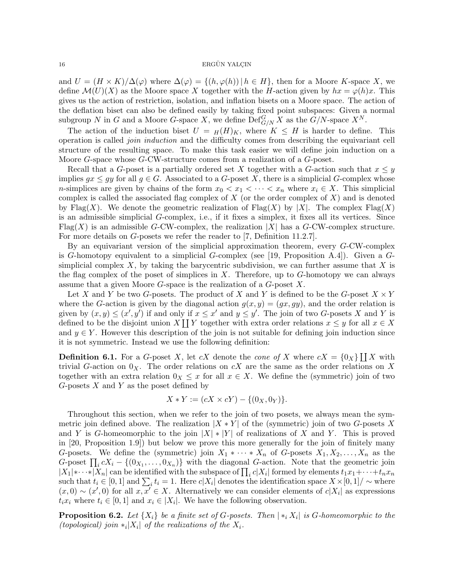and  $U = (H \times K)/\Delta(\varphi)$  where  $\Delta(\varphi) = \{(h, \varphi(h)) \mid h \in H\}$ , then for a Moore K-space X, we define  $\mathcal{M}(U)(X)$  as the Moore space X together with the H-action given by  $hx = \varphi(h)x$ . This gives us the action of restriction, isolation, and inflation bisets on a Moore space. The action of the deflation biset can also be defined easily by taking fixed point subspaces: Given a normal subgroup N in G and a Moore G-space X, we define  $\mathrm{Def}_{G/N}^G X$  as the  $\tilde{G}/N$ -space  $X^N$ .

The action of the induction biset  $U = H(H)_K$ , where  $K \leq H$  is harder to define. This operation is called join induction and the difficulty comes from describing the equivariant cell structure of the resulting space. To make this task easier we will define join induction on a Moore G-space whose G-CW-structure comes from a realization of a G-poset.

Recall that a G-poset is a partially ordered set X together with a G-action such that  $x \leq y$ implies  $gx \le gy$  for all  $g \in G$ . Associated to a G-poset X, there is a simplicial G-complex whose n-simplices are given by chains of the form  $x_0 < x_1 < \cdots < x_n$  where  $x_i \in X$ . This simplicial complex is called the associated flag complex of  $X$  (or the order complex of  $X$ ) and is denoted by Flag(X). We denote the geometric realization of Flag(X) by |X|. The complex Flag(X) is an admissible simplicial G-complex, i.e., if it fixes a simplex, it fixes all its vertices. Since Flag(X) is an admissible G-CW-complex, the realization  $|X|$  has a G-CW-complex structure. For more details on G-posets we refer the reader to [7, Definition 11.2.7].

By an equivariant version of the simplicial approximation theorem, every G-CW-complex is G-homotopy equivalent to a simplicial G-complex (see [19, Proposition A.4]). Given a  $G$ simplicial complex  $X$ , by taking the barycentric subdivision, we can further assume that  $X$  is the flag complex of the poset of simplices in  $X$ . Therefore, up to  $G$ -homotopy we can always assume that a given Moore G-space is the realization of a G-poset X.

Let X and Y be two G-posets. The product of X and Y is defined to be the G-poset  $X \times Y$ where the G-action is given by the diagonal action  $g(x, y) = (gx, gy)$ , and the order relation is given by  $(x, y) \leq (x', y')$  if and only if  $x \leq x'$  and  $y \leq y'$ . The join of two G-posets X and Y is defined to be the disjoint union X  $\coprod Y$  together with extra order relations  $x \leq y$  for all  $x \in X$ and  $y \in Y$ . However this description of the join is not suitable for defining join induction since it is not symmetric. Instead we use the following definition:

**Definition 6.1.** For a G-poset X, let cX denote the cone of X where  $cX = \{0_X\} \coprod X$  with trivial G-action on  $0_X$ . The order relations on cX are the same as the order relations on X together with an extra relation  $0_X \leq x$  for all  $x \in X$ . We define the (symmetric) join of two  $G$ -posets  $X$  and  $Y$  as the poset defined by

$$
X * Y := (cX \times cY) - \{(0_X, 0_Y)\}.
$$

Throughout this section, when we refer to the join of two posets, we always mean the symmetric join defined above. The realization  $|X * Y|$  of the (symmetric) join of two G-posets X and Y is G-homeomorphic to the join  $|X| * |Y|$  of realizations of X and Y. This is proved in [20, Proposition 1.9]) but below we prove this more generally for the join of finitely many G-posets. We define the (symmetric) join  $X_1 * \cdots * X_n$  of G-posets  $X_1, X_2, \ldots, X_n$  as the G-poset  $\prod_i cX_i - \{(0_{X_1}, \ldots, 0_{X_n})\}\$  with the diagonal G-action. Note that the geometric join  $|X_1| * \cdots * |X_n|$  can be identified with the subspace of  $\prod_i c|X_i|$  formed by elements  $t_1x_1 + \cdots + t_nx_n$ such that  $t_i \in [0,1]$  and  $\sum_i t_i = 1$ . Here  $c|X_i|$  denotes the identification space  $X \times [0,1] / \sim$  where  $(x,0) \sim (x',0)$  for all  $x,\overline{x'} \in X$ . Alternatively we can consider elements of  $c|X_i|$  as expressions  $t_i x_i$  where  $t_i \in [0,1]$  and  $x_i \in |X_i|$ . We have the following observation.

**Proposition 6.2.** Let  $\{X_i\}$  be a finite set of G-posets. Then  $|\ast_i X_i|$  is G-homeomorphic to the (topological) join  $*_i|X_i|$  of the realizations of the  $X_i$ .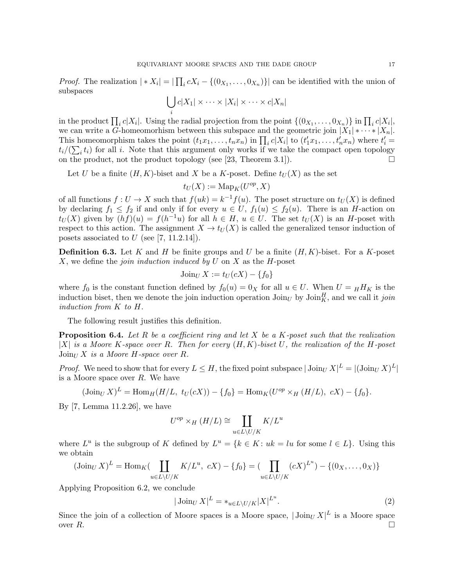*Proof.* The realization  $| * X_i | = | \prod_i c X_i - \{(0_{X_1}, \ldots, 0_{X_n})\}|$  can be identified with the union of subspaces

$$
\bigcup_i c|X_1| \times \cdots \times |X_i| \times \cdots \times c|X_n|
$$

in the product  $\prod_i c|X_i|$ . Using the radial projection from the point  $\{(0_{X_1}, \ldots, 0_{X_n})\}$  in  $\prod_i c|X_i|$ , we can write a G-homeomorhism between this subspace and the geometric join  $|X_1| * \cdots * |X_n|$ . This homeomorphism takes the point  $(t_1x_1, \ldots, t_nx_n)$  in  $\prod_ic|X_i|$  to  $(t'_1x_1, \ldots, t'_nx_n)$  where  $t'_i$  $t_i/(\sum_i t_i)$  for all i. Note that this argument only works if we take the compact open topology on the product, not the product topology (see [23, Theorem 3.1]).  $\Box$ 

Let U be a finite  $(H, K)$ -biset and X be a K-poset. Define  $t_U(X)$  as the set

$$
t_U(X):=\operatorname{Map}_K(U^{op},X)
$$

of all functions  $f: U \to X$  such that  $f(uk) = k^{-1} f(u)$ . The poset structure on  $t_U(X)$  is defined by declaring  $f_1 \leq f_2$  if and only if for every  $u \in U$ ,  $f_1(u) \leq f_2(u)$ . There is an H-action on  $t_U(X)$  given by  $(hf)(u) = f(h^{-1}u)$  for all  $h \in H$ ,  $u \in U$ . The set  $t_U(X)$  is an H-poset with respect to this action. The assignment  $X \to t_U(X)$  is called the generalized tensor induction of posets associated to  $U$  (see [7, 11.2.14]).

**Definition 6.3.** Let K and H be finite groups and U be a finite  $(H, K)$ -biset. For a K-poset X, we define the *join induction induced by U* on X as the  $H$ -poset

$$
J\text{oin}_{U} X := t_{U}(cX) - \{f_0\}
$$

where  $f_0$  is the constant function defined by  $f_0(u) = 0_X$  for all  $u \in U$ . When  $U = _H H_K$  is the induction biset, then we denote the join induction operation  $\text{Join}_{U}$  by  $\text{Join}_{K}^{H}$ , and we call it join induction from K to H.

The following result justifies this definition.

**Proposition 6.4.** Let R be a coefficient ring and let X be a K-poset such that the realization |X| is a Moore K-space over R. Then for every  $(H, K)$ -biset U, the realization of the H-poset  $\text{Join}_{U} X$  is a Moore H-space over R.

*Proof.* We need to show that for every  $L \leq H$ , the fixed point subspace  $|\text{Join}_U X|^L = |(\text{Join}_U X)^L|$ is a Moore space over R. We have

$$
(\text{Join}_{U} X)^{L} = \text{Hom}_{H}(H/L, t_{U}(cX)) - \{f_{0}\} = \text{Hom}_{K}(U^{op} \times_{H} (H/L), cX) - \{f_{0}\}.
$$

By [7, Lemma 11.2.26], we have

$$
U^{op}\times_H(H/L)\cong\coprod_{u\in L\backslash U/K}K/L^u
$$

where  $L^u$  is the subgroup of K defined by  $L^u = \{k \in K : uk = lu \text{ for some } l \in L\}$ . Using this we obtain

$$
(\text{Join}_{U} X)^{L} = \text{Hom}_{K}(\coprod_{u \in L \setminus U / K} K / L^{u}, cX) - \{f_{0}\} = (\prod_{u \in L \setminus U / K} (cX)^{L^{u}}) - \{(0_{X}, \dots, 0_{X})\}
$$

Applying Proposition 6.2, we conclude

$$
|\operatorname{Join}_{U} X|^{L} = *_{u \in L \setminus U / K} |X|^{L^{u}}.
$$
\n
$$
(2)
$$

Since the join of a collection of Moore spaces is a Moore space,  $|\text{Join}_{U} X|^L$  is a Moore space over  $R$ .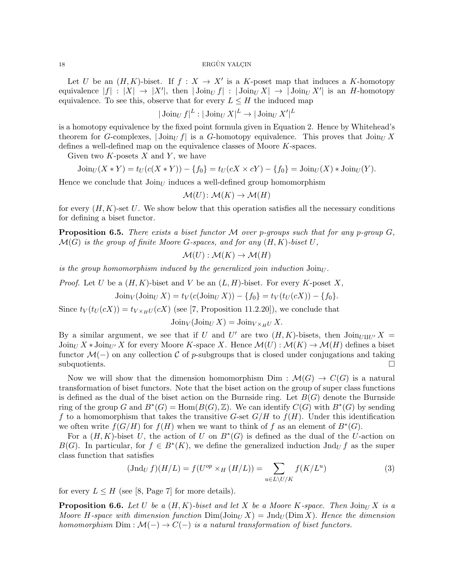Let U be an  $(H, K)$ -biset. If  $f : X \to X'$  is a K-poset map that induces a K-homotopy equivalence  $|f| : |X| \to |X'|$ , then  $|\operatorname{Join}_U f| : |\operatorname{Join}_U X| \to |\operatorname{Join}_U X'|$  is an *H*-homotopy equivalence. To see this, observe that for every  $L \leq H$  the induced map

 $|\operatorname{Join}_U f|^L: |\operatorname{Join}_U X|^L \to |\operatorname{Join}_U X'|^L$ 

is a homotopy equivalence by the fixed point formula given in Equation 2. Hence by Whitehead's theorem for G-complexes,  $|\text{Join}_U f|$  is a G-homotopy equivalence. This proves that  $\text{Join}_U X$ defines a well-defined map on the equivalence classes of Moore K-spaces.

Given two  $K$ -posets  $X$  and  $Y$ , we have

$$
J\text{oin}_{U}(X*Y) = t_{U}(c(X*Y)) - \{f_0\} = t_{U}(cX \times cY) - \{f_0\} = J\text{oin}_{U}(X) * J\text{oin}_{U}(Y).
$$

Hence we conclude that  $\text{Join}_{U}$  induces a well-defined group homomorphism

$$
\mathcal{M}(U) \colon \mathcal{M}(K) \to \mathcal{M}(H)
$$

for every  $(H, K)$ -set U. We show below that this operation satisfies all the necessary conditions for defining a biset functor.

**Proposition 6.5.** There exists a biset functor M over p-groups such that for any p-group  $G$ ,  $\mathcal{M}(G)$  is the group of finite Moore G-spaces, and for any  $(H, K)$ -biset  $U$ ,

$$
\mathcal{M}(U) : \mathcal{M}(K) \to \mathcal{M}(H)
$$

is the group homomorphism induced by the generalized join induction  $\text{Join}_U$ .

*Proof.* Let U be a  $(H, K)$ -biset and V be an  $(L, H)$ -biset. For every K-poset X,

$$
J\text{oin}_V(J\text{oin}_U X) = t_V(c(J\text{oin}_U X)) - \{f_0\} = t_V(t_U(cX)) - \{f_0\}.
$$

Since  $t_V(t_U(cX)) = t_{V \times_H U}(cX)$  (see [7, Proposition 11.2.20]), we conclude that

 $\text{Join}_V(\text{Join}_U X) = \text{Join}_{V \times_H U} X.$ 

By a similar argument, we see that if U and U' are two  $(H, K)$ -bisets, then  $\text{Join}_{U \amalg U'} X =$  $\text{Join}_{U} X * \text{Join}_{U'} X$  for every Moore K-space X. Hence  $\mathcal{M}(U) : \mathcal{M}(K) \to \mathcal{M}(H)$  defines a biset functor  $\mathcal{M}(-)$  on any collection C of p-subgroups that is closed under conjugations and taking subquotients.

Now we will show that the dimension homomorphism Dim :  $\mathcal{M}(G) \to C(G)$  is a natural transformation of biset functors. Note that the biset action on the group of super class functions is defined as the dual of the biset action on the Burnside ring. Let  $B(G)$  denote the Burnside ring of the group G and  $B^*(G) = \text{Hom}(B(G), \mathbb{Z})$ . We can identify  $C(G)$  with  $B^*(G)$  by sending f to a homomorphism that takes the transitive G-set  $G/H$  to  $f(H)$ . Under this identification we often write  $f(G/H)$  for  $f(H)$  when we want to think of f as an element of  $B^*(G)$ .

For a  $(H, K)$ -biset U, the action of U on  $B^*(G)$  is defined as the dual of the U-action on  $B(G)$ . In particular, for  $f \in B^*(K)$ , we define the generalized induction  $\text{Ind}_U f$  as the super class function that satisfies

$$
(\text{Jnd}_U f)(H/L) = f(U^{op} \times_H (H/L)) = \sum_{u \in L \setminus U/K} f(K/L^u)
$$
\n(3)

for every  $L \leq H$  (see [8, Page 7] for more details).

**Proposition 6.6.** Let U be a  $(H, K)$ -biset and let X be a Moore K-space. Then  $\text{Join}_{U} X$  is a Moore H-space with dimension function  $\text{Dim}(J\text{oin}_U X) = \text{Ind}_U(\text{Dim }X)$ . Hence the dimension homomorphism  $Dim: \mathcal{M}(-) \to C(-)$  is a natural transformation of biset functors.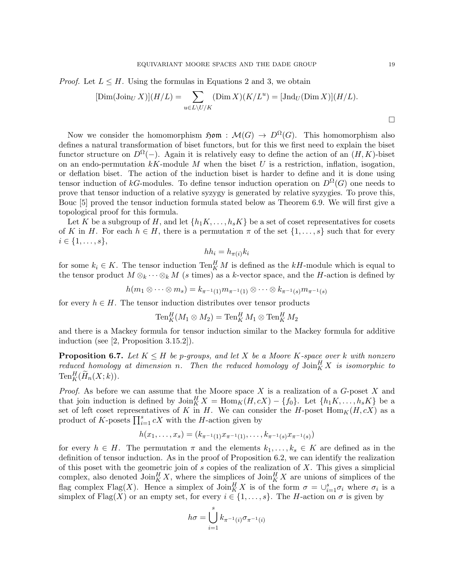*Proof.* Let  $L \leq H$ . Using the formulas in Equations 2 and 3, we obtain

$$
[\text{Dim}(\text{Join } X)](H/L) = \sum_{u \in L \setminus U/K} (\text{Dim } X)(K/L^u) = [\text{Ind}_U(\text{Dim } X)](H/L).
$$

Now we consider the homomorphism  $\mathfrak{Hom} : \mathcal{M}(G) \to D^{\Omega}(G)$ . This homomorphism also defines a natural transformation of biset functors, but for this we first need to explain the biset functor structure on  $D^{\Omega}(-)$ . Again it is relatively easy to define the action of an  $(H, K)$ -biset on an endo-permutation  $kK$ -module M when the biset U is a restriction, inflation, isogation, or deflation biset. The action of the induction biset is harder to define and it is done using tensor induction of kG-modules. To define tensor induction operation on  $D^{\Omega}(G)$  one needs to prove that tensor induction of a relative syzygy is generated by relative syzygies. To prove this, Bouc [5] proved the tensor induction formula stated below as Theorem 6.9. We will first give a topological proof for this formula.

Let K be a subgroup of H, and let  $\{h_1K, \ldots, h_sK\}$  be a set of coset representatives for cosets of K in H. For each  $h \in H$ , there is a permutation  $\pi$  of the set  $\{1, \ldots, s\}$  such that for every  $i \in \{1, \ldots, s\},\$ 

$$
hh_i = h_{\pi(i)}k_i
$$

for some  $k_i \in K$ . The tensor induction  $\text{Ten}_K^H M$  is defined as the kH-module which is equal to the tensor product  $M \otimes_k \cdots \otimes_k M$  (s times) as a k-vector space, and the H-action is defined by

 $h(m_1 \otimes \cdots \otimes m_s) = k_{\pi^{-1}(1)} m_{\pi^{-1}(1)} \otimes \cdots \otimes k_{\pi^{-1}(s)} m_{\pi^{-1}(s)}$ 

for every  $h \in H$ . The tensor induction distributes over tensor products

$$
\operatorname{Ten}^H_K(M_1 \otimes M_2) = \operatorname{Ten}^H_K M_1 \otimes \operatorname{Ten}^H_K M_2
$$

and there is a Mackey formula for tensor induction similar to the Mackey formula for additive induction (see [2, Proposition 3.15.2]).

**Proposition 6.7.** Let  $K \leq H$  be p-groups, and let X be a Moore K-space over k with nonzero reduced homology at dimension n. Then the reduced homology of  $\mathrm{Join}^H_K X$  is isomorphic to  $\text{Ten}_{K}^{H}(\widetilde{H}_{n}(X; k)).$ 

*Proof.* As before we can assume that the Moore space  $X$  is a realization of a  $G$ -poset  $X$  and that join induction is defined by  $\text{Join}_{K}^{H} X = \text{Hom}_{K}(H, cX) - \{f_0\}$ . Let  $\{h_1K, \ldots, h_sK\}$  be a set of left coset representatives of K in H. We can consider the H-poset  $\text{Hom}_K(H, cX)$  as a product of K-posets  $\prod_{i=1}^{s} cX$  with the H-action given by

$$
h(x_1,\ldots,x_s)=(k_{\pi^{-1}(1)}x_{\pi^{-1}(1)},\ldots,k_{\pi^{-1}(s)}x_{\pi^{-1}(s)})
$$

for every  $h \in H$ . The permutation  $\pi$  and the elements  $k_1, \ldots, k_s \in K$  are defined as in the definition of tensor induction. As in the proof of Proposition 6.2, we can identify the realization of this poset with the geometric join of  $s$  copies of the realization of  $X$ . This gives a simplicial complex, also denoted  $\mathrm{Join}_{K}^{H} X$ , where the simplices of  $\mathrm{Join}_{K}^{H} X$  are unions of simplices of the flag complex Flag(X). Hence a simplex of  $\mathrm{Join}_{K}^{H} X$  is of the form  $\sigma = \cup_{i=1}^{s} \sigma_i$  where  $\sigma_i$  is a simplex of Flag(X) or an empty set, for every  $i \in \{1, \ldots, s\}$ . The H-action on  $\sigma$  is given by

$$
h\sigma = \bigcup_{i=1}^{s} k_{\pi^{-1}(i)} \sigma_{\pi^{-1}(i)}
$$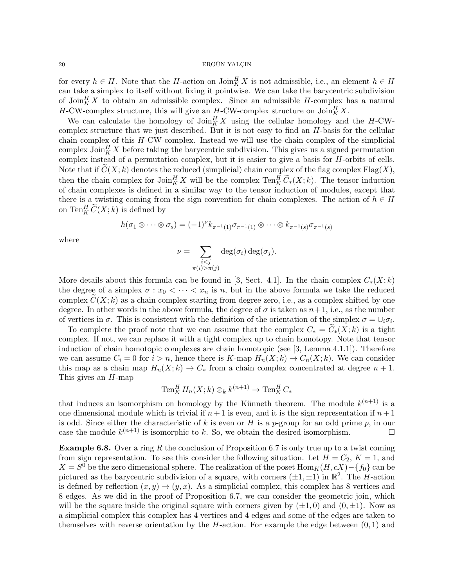for every  $h \in H$ . Note that the H-action on  $\text{Join}_{K}^{H} X$  is not admissible, i.e., an element  $h \in H$ can take a simplex to itself without fixing it pointwise. We can take the barycentric subdivision of  $\mathrm{Join}_{K}^{H} X$  to obtain an admissible complex. Since an admissible H-complex has a natural H-CW-complex structure, this will give an  $H$ -CW-complex structure on  $\text{Join}_{K}^{H} X$ .

We can calculate the homology of  $\mathrm{Join}_{K}^{H} X$  using the cellular homology and the H-CWcomplex structure that we just described. But it is not easy to find an H-basis for the cellular chain complex of this H-CW-complex. Instead we will use the chain complex of the simplicial complex  $\mathrm{Join}_{K}^{H} X$  before taking the barycentric subdivision. This gives us a signed permutation complex instead of a permutation complex, but it is easier to give a basis for H-orbits of cells. Note that if  $C(X; k)$  denotes the reduced (simplicial) chain complex of the flag complex  $Flag(X)$ , then the chain complex for  $\text{Join}_{K}^{H} X$  will be the complex  $\text{Ten}_{K}^{H} \widetilde{C}_{*}(X; k)$ . The tensor induction of chain complexes is defined in a similar way to the tensor induction of modules, except that there is a twisting coming from the sign convention for chain complexes. The action of  $h \in H$ on  $\operatorname{Ten}^H_K \widetilde{C}(X;k)$  is defined by

$$
h(\sigma_1 \otimes \cdots \otimes \sigma_s) = (-1)^{\nu} k_{\pi^{-1}(1)} \sigma_{\pi^{-1}(1)} \otimes \cdots \otimes k_{\pi^{-1}(s)} \sigma_{\pi^{-1}(s)}
$$

where

$$
\nu = \sum_{\substack{i < j \\ \pi(i) > \pi(j)}} \deg(\sigma_i) \deg(\sigma_j).
$$

More details about this formula can be found in [3, Sect. 4.1]. In the chain complex  $C_*(X; k)$ the degree of a simplex  $\sigma: x_0 < \cdots < x_n$  is n, but in the above formula we take the reduced complex  $C(X; k)$  as a chain complex starting from degree zero, i.e., as a complex shifted by one degree. In other words in the above formula, the degree of  $\sigma$  is taken as  $n+1$ , i.e., as the number of vertices in  $\sigma$ . This is consistent with the definition of the orientation of the simplex  $\sigma = \cup_i \sigma_i$ .

To complete the proof note that we can assume that the complex  $C_* = C_*(X; k)$  is a tight complex. If not, we can replace it with a tight complex up to chain homotopy. Note that tensor induction of chain homotopic complexes are chain homotopic (see [3, Lemma 4.1.1]). Therefore we can assume  $C_i = 0$  for  $i > n$ , hence there is  $K$ -map  $H_n(X; k) \to C_n(X; k)$ . We can consider this map as a chain map  $H_n(X; k) \to C_*$  from a chain complex concentrated at degree  $n + 1$ . This gives an H-map

$$
\operatorname{Ten}^H_K H_n(X;k) \otimes_k k^{(n+1)} \to \operatorname{Ten}^H_K C_*
$$

that induces an isomorphism on homology by the Künneth theorem. The module  $k^{(n+1)}$  is a one dimensional module which is trivial if  $n+1$  is even, and it is the sign representation if  $n+1$ is odd. Since either the characteristic of k is even or H is a p-group for an odd prime p, in our case the module  $k^{(n+1)}$  is isomorphic to k. So, we obtain the desired isomorphism.

**Example 6.8.** Over a ring R the conclusion of Proposition 6.7 is only true up to a twist coming from sign representation. To see this consider the following situation. Let  $H = C_2$ ,  $K = 1$ , and  $X = S^0$  be the zero dimensional sphere. The realization of the poset  $\text{Hom}_K(H, cX) - \{f_0\}$  can be pictured as the barycentric subdivision of a square, with corners  $(\pm 1, \pm 1)$  in  $\mathbb{R}^2$ . The H-action is defined by reflection  $(x, y) \rightarrow (y, x)$ . As a simplicial complex, this complex has 8 vertices and 8 edges. As we did in the proof of Proposition 6.7, we can consider the geometric join, which will be the square inside the original square with corners given by  $(\pm 1, 0)$  and  $(0, \pm 1)$ . Now as a simplicial complex this complex has 4 vertices and 4 edges and some of the edges are taken to themselves with reverse orientation by the  $H$ -action. For example the edge between  $(0, 1)$  and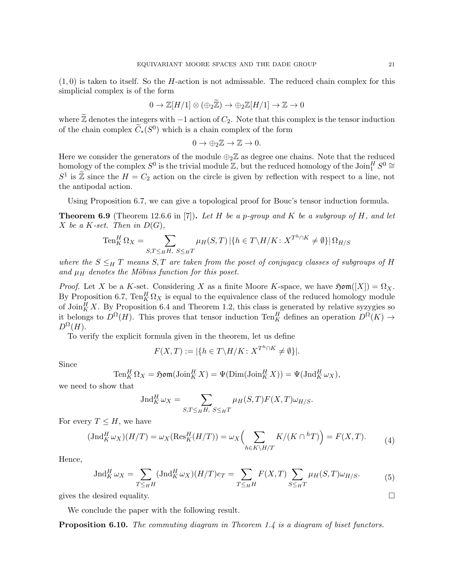$(1, 0)$  is taken to itself. So the *H*-action is not admissable. The reduced chain complex for this simplicial complex is of the form

$$
0 \to \mathbb{Z}[H/1] \otimes (\oplus_2 \widetilde{\mathbb{Z}}) \to \oplus_2 \mathbb{Z}[H/1] \to \mathbb{Z} \to 0
$$

where  $\widetilde{\mathbb{Z}}$  denotes the integers with −1 action of  $C_2$ . Note that this complex is the tensor induction of the chain complex  $\widetilde{C}_*(S^0)$  which is a chain complex of the form

$$
0 \to \bigoplus_2 \mathbb{Z} \to \mathbb{Z} \to 0.
$$

Here we consider the generators of the module  $\bigoplus_{2} \mathbb{Z}$  as degree one chains. Note that the reduced homology of the complex  $S^0$  is the trivial module  $\mathbb{Z}$ , but the reduced homology of the  $\mathrm{Join}_{1}^H S^0 \cong$  $S^1$  is  $\widetilde{\mathbb{Z}}$  since the  $H = C_2$  action on the circle is given by reflection with respect to a line, not the antipodal action.

Using Proposition 6.7, we can give a topological proof for Bouc's tensor induction formula.

**Theorem 6.9** (Theorem 12.6.6 in [7]). Let H be a p-group and K be a subgroup of H, and let X be a K-set. Then in  $D(G)$ ,

$$
\operatorname{Ten}_{K}^{H} \Omega_{X} = \sum_{S,T \leq_{H} H, \ S \leq_{H} T} \mu_{H}(S,T) \left| \{ h \in T \backslash H / K \colon X^{T^{h} \cap K} \neq \emptyset \} \right| \Omega_{H/S}
$$

where the  $S \leq_H T$  means  $S, T$  are taken from the poset of conjugacy classes of subgroups of H and  $\mu$ <sub>H</sub> denotes the Möbius function for this poset.

*Proof.* Let X be a K-set. Considering X as a finite Moore K-space, we have  $\mathfrak{Hom}([X]) = \Omega_X$ . By Proposition 6.7,  $\text{Ten}_{K}^{H} \Omega_{X}$  is equal to the equivalence class of the reduced homology module of  $\mathrm{Join}_{K}^{H} X$ . By Proposition 6.4 and Theorem 1.2, this class is generated by relative syzygies so it belongs to  $D^{\Omega}(H)$ . This proves that tensor induction Ten<sup>H</sup><sub>K</sub> defines an operation  $D^{\Omega}(K) \to$  $D^{\Omega}(H).$ 

To verify the explicit formula given in the theorem, let us define

$$
F(X,T) := |\{ h \in T \backslash H / K \colon X^{T^h \cap K} \neq \emptyset \}|.
$$

Since

$$
\operatorname{Ten}_{K}^{H}\Omega_{X} = \mathfrak{Hom}(\operatorname{Join}_{K}^{H}X) = \Psi(\operatorname{Dim}(\operatorname{Join}_{K}^{H}X)) = \Psi(\operatorname{Ind}_{K}^{H}\omega_{X}),
$$

we need to show that

$$
\operatorname{Jnd}_{K}^{H} \omega_{X} = \sum_{S,T \leq H, S \leq H} \mu_{H}(S,T) F(X,T) \omega_{H/S}.
$$

For every  $T \leq H$ , we have

$$
(\text{Jnd}_{K}^{H}\omega_{X})(H/T) = \omega_{X}(\text{Res}_{K}^{H}(H/T)) = \omega_{X}\left(\sum_{h\in K\backslash H/T} K/(K\cap {}^{h}T)\right) = F(X,T). \tag{4}
$$

Hence,

$$
\operatorname{Jnd}_{K}^{H} \omega_{X} = \sum_{T \leq_{H} H} (\operatorname{Jnd}_{K}^{H} \omega_{X})(H/T) e_{T} = \sum_{T \leq_{H} H} F(X, T) \sum_{S \leq_{H} T} \mu_{H}(S, T) \omega_{H/S}.
$$
 (5)

gives the desired equality.  $\Box$ 

We conclude the paper with the following result.

**Proposition 6.10.** The commuting diagram in Theorem 1.4 is a diagram of biset functors.